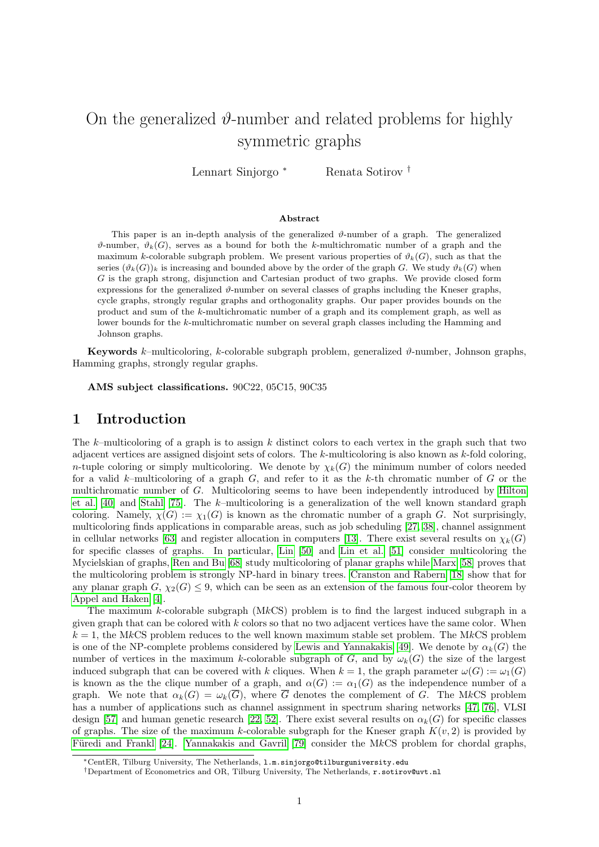# On the generalized  $\vartheta$ -number and related problems for highly symmetric graphs

Lennart Sinjorgo <sup>∗</sup> Renata Sotirov †

#### Abstract

This paper is an in-depth analysis of the generalized  $\vartheta$ -number of a graph. The generalized  $\vartheta$ -number,  $\vartheta_k(G)$ , serves as a bound for both the k-multichromatic number of a graph and the maximum k-colorable subgraph problem. We present various properties of  $\vartheta_k(G)$ , such as that the series  $(\vartheta_k(G))_k$  is increasing and bounded above by the order of the graph G. We study  $\vartheta_k(G)$  when G is the graph strong, disjunction and Cartesian product of two graphs. We provide closed form expressions for the generalized  $\vartheta$ -number on several classes of graphs including the Kneser graphs, cycle graphs, strongly regular graphs and orthogonality graphs. Our paper provides bounds on the product and sum of the k-multichromatic number of a graph and its complement graph, as well as lower bounds for the k-multichromatic number on several graph classes including the Hamming and Johnson graphs.

**Keywords** k–multicoloring, k-colorable subgraph problem, generalized  $\vartheta$ -number, Johnson graphs, Hamming graphs, strongly regular graphs.

AMS subject classifications. 90C22, 05C15, 90C35

### 1 Introduction

The k–multicoloring of a graph is to assign k distinct colors to each vertex in the graph such that two adjacent vertices are assigned disjoint sets of colors. The k-multicoloring is also known as k-fold coloring, n-tuple coloring or simply multicoloring. We denote by  $\chi_k(G)$  the minimum number of colors needed for a valid k–multicoloring of a graph  $G$ , and refer to it as the k-th chromatic number of  $G$  or the multichromatic number of G. Multicoloring seems to have been independently introduced by [Hilton](#page-25-0) [et al. \[40\]](#page-25-0) and [Stahl \[75\]](#page-27-0). The k–multicoloring is a generalization of the well known standard graph coloring. Namely,  $\chi(G) := \chi_1(G)$  is known as the chromatic number of a graph G. Not surprisingly, multicoloring finds applications in comparable areas, such as job scheduling [\[27,](#page-25-1) [38\]](#page-25-2), channel assignment in cellular networks [\[63\]](#page-26-0) and register allocation in computers [\[13\]](#page-24-0). There exist several results on  $\chi_k(G)$ for specific classes of graphs. In particular, [Lin \[50\]](#page-26-1) and [Lin et al. \[51\]](#page-26-2) consider multicoloring the Mycielskian of graphs, [Ren and Bu \[68\]](#page-27-1) study multicoloring of planar graphs while [Marx \[58\]](#page-26-3) proves that the multicoloring problem is strongly NP-hard in binary trees. [Cranston and Rabern \[18\]](#page-24-1) show that for any planar graph  $G, \chi_2(G) \leq 9$ , which can be seen as an extension of the famous four-color theorem by [Appel and Haken \[4\]](#page-24-2).

The maximum k-colorable subgraph  $(MkCS)$  problem is to find the largest induced subgraph in a given graph that can be colored with  $k$  colors so that no two adjacent vertices have the same color. When  $k = 1$ , the MkCS problem reduces to the well known maximum stable set problem. The MkCS problem is one of the NP-complete problems considered by [Lewis and Yannakakis \[49\]](#page-26-4). We denote by  $\alpha_k(G)$  the number of vertices in the maximum k-colorable subgraph of G, and by  $\omega_k(G)$  the size of the largest induced subgraph that can be covered with k cliques. When  $k = 1$ , the graph parameter  $\omega(G) := \omega_1(G)$ is known as the the clique number of a graph, and  $\alpha(G) := \alpha_1(G)$  as the independence number of a graph. We note that  $\alpha_k(G) = \omega_k(\overline{G})$ , where  $\overline{G}$  denotes the complement of G. The MkCS problem has a number of applications such as channel assignment in spectrum sharing networks [\[47,](#page-26-5) [76\]](#page-27-2), VLSI design [\[57\]](#page-26-6) and human genetic research [\[22,](#page-24-3) [52\]](#page-26-7). There exist several results on  $\alpha_k(G)$  for specific classes of graphs. The size of the maximum k-colorable subgraph for the Kneser graph  $K(v, 2)$  is provided by Füredi and Frankl [24]. [Yannakakis and Gavril \[79\]](#page-27-3) consider the MkCS problem for chordal graphs,

<sup>∗</sup>CentER, Tilburg University, The Netherlands, l.m.sinjorgo@tilburguniversity.edu

<sup>†</sup>Department of Econometrics and OR, Tilburg University, The Netherlands, r.sotirov@uvt.nl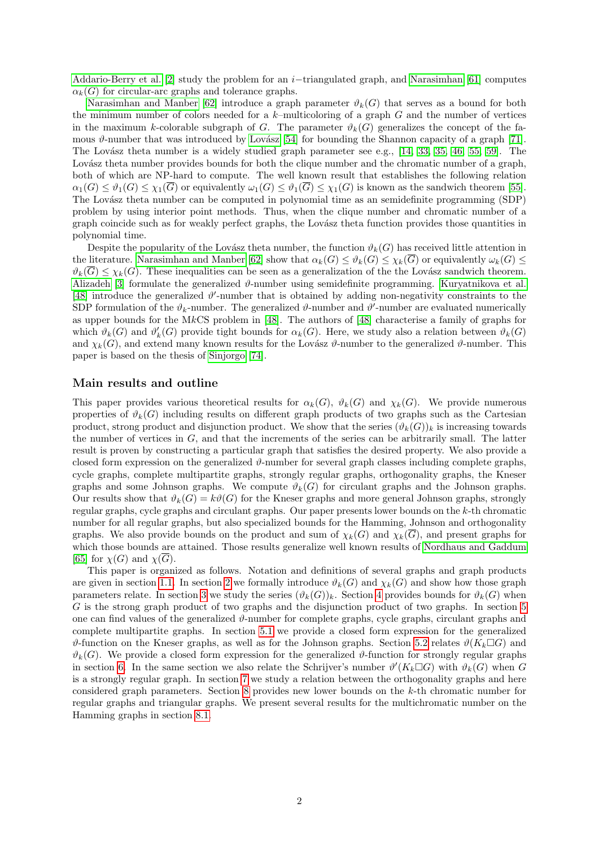[Addario-Berry et al. \[2\]](#page-23-0) study the problem for an  $i$ -triangulated graph, and [Narasimhan \[61\]](#page-26-8) computes  $\alpha_k(G)$  for circular-arc graphs and tolerance graphs.

[Narasimhan and Manber \[62\]](#page-26-9) introduce a graph parameter  $\vartheta_k(G)$  that serves as a bound for both the minimum number of colors needed for a  $k$ -multicoloring of a graph  $G$  and the number of vertices in the maximum k-colorable subgraph of G. The parameter  $\vartheta_k(G)$  generalizes the concept of the famous  $\vartheta$ -number that was introduced by Lovász [54] for bounding the Shannon capacity of a graph [\[71\]](#page-27-4). The Lovász theta number is a widely studied graph parameter see e.g.,  $[14, 33, 35, 46, 55, 59]$  $[14, 33, 35, 46, 55, 59]$  $[14, 33, 35, 46, 55, 59]$  $[14, 33, 35, 46, 55, 59]$  $[14, 33, 35, 46, 55, 59]$  $[14, 33, 35, 46, 55, 59]$ . The Lovász theta number provides bounds for both the clique number and the chromatic number of a graph, both of which are NP-hard to compute. The well known result that establishes the following relation  $\alpha_1(G) \leq \vartheta_1(G) \leq \chi_1(\overline{G})$  or equivalently  $\omega_1(G) \leq \vartheta_1(\overline{G}) \leq \chi_1(G)$  is known as the sandwich theorem [\[55\]](#page-26-12). The Lovász theta number can be computed in polynomial time as an semidefinite programming (SDP) problem by using interior point methods. Thus, when the clique number and chromatic number of a graph coincide such as for weakly perfect graphs, the Lovász theta function provides those quantities in polynomial time.

Despite the popularity of the Lovász theta number, the function  $\vartheta_k(G)$  has received little attention in the literature. [Narasimhan and Manber \[62\]](#page-26-9) show that  $\alpha_k(G) \leq \vartheta_k(G) \leq \chi_k(G)$  or equivalently  $\omega_k(G) \leq$  $\vartheta_k(\overline{G}) \leq \chi_k(G)$ . These inequalities can be seen as a generalization of the the Lovász sandwich theorem. [Alizadeh \[3\]](#page-24-5) formulate the generalized  $\vartheta$ -number using semidefinite programming. [Kuryatnikova et al.](#page-26-14) [\[48\]](#page-26-14) introduce the generalized  $\vartheta'$ -number that is obtained by adding non-negativity constraints to the SDP formulation of the  $\vartheta_k$ -number. The generalized  $\vartheta$ -number and  $\vartheta'$ -number are evaluated numerically as upper bounds for the MkCS problem in [\[48\]](#page-26-14). The authors of [\[48\]](#page-26-14) characterise a family of graphs for which  $\vartheta_k(G)$  and  $\vartheta'_k(G)$  provide tight bounds for  $\alpha_k(G)$ . Here, we study also a relation between  $\vartheta_k(G)$ and  $\chi_k(G)$ , and extend many known results for the Lovász  $\vartheta$ -number to the generalized  $\vartheta$ -number. This paper is based on the thesis of [Sinjorgo \[74\]](#page-27-5).

#### Main results and outline

This paper provides various theoretical results for  $\alpha_k(G)$ ,  $\vartheta_k(G)$  and  $\chi_k(G)$ . We provide numerous properties of  $\vartheta_k(G)$  including results on different graph products of two graphs such as the Cartesian product, strong product and disjunction product. We show that the series  $(\vartheta_k(G))_k$  is increasing towards the number of vertices in  $G$ , and that the increments of the series can be arbitrarily small. The latter result is proven by constructing a particular graph that satisfies the desired property. We also provide a closed form expression on the generalized  $\vartheta$ -number for several graph classes including complete graphs, cycle graphs, complete multipartite graphs, strongly regular graphs, orthogonality graphs, the Kneser graphs and some Johnson graphs. We compute  $\vartheta_k(G)$  for circulant graphs and the Johnson graphs. Our results show that  $\vartheta_k(G) = k\vartheta(G)$  for the Kneser graphs and more general Johnson graphs, strongly regular graphs, cycle graphs and circulant graphs. Our paper presents lower bounds on the k-th chromatic number for all regular graphs, but also specialized bounds for the Hamming, Johnson and orthogonality graphs. We also provide bounds on the product and sum of  $\chi_k(G)$  and  $\chi_k(\overline{G})$ , and present graphs for which those bounds are attained. Those results generalize well known results of [Nordhaus and Gaddum](#page-27-6) [\[65\]](#page-27-6) for  $\chi(G)$  and  $\chi(\overline{G})$ .

This paper is organized as follows. Notation and definitions of several graphs and graph products are given in section [1.1.](#page-2-0) In section [2](#page-3-0) we formally introduce  $\vartheta_k(G)$  and  $\chi_k(G)$  and show how those graph parameters relate. In section [3](#page-4-0) we study the series  $(\vartheta_k(G))_k$ . Section [4](#page-7-0) provides bounds for  $\vartheta_k(G)$  when G is the strong graph product of two graphs and the disjunction product of two graphs. In section [5](#page-8-0) one can find values of the generalized  $\vartheta$ -number for complete graphs, cycle graphs, circulant graphs and complete multipartite graphs. In section [5.1](#page-10-0) we provide a closed form expression for the generalized  $\vartheta$ -function on the Kneser graphs, as well as for the Johnson graphs. Section [5.2](#page-12-0) relates  $\vartheta(K_k \Box G)$  and  $\vartheta_k(G)$ . We provide a closed form expression for the generalized  $\vartheta$ -function for strongly regular graphs in section [6.](#page-14-0) In the same section we also relate the Schrijver's number  $\vartheta'(K_k \Box G)$  with  $\vartheta_k(G)$  when G is a strongly regular graph. In section [7](#page-18-0) we study a relation between the orthogonality graphs and here considered graph parameters. Section [8](#page-19-0) provides new lower bounds on the k-th chromatic number for regular graphs and triangular graphs. We present several results for the multichromatic number on the Hamming graphs in section [8.1.](#page-21-0)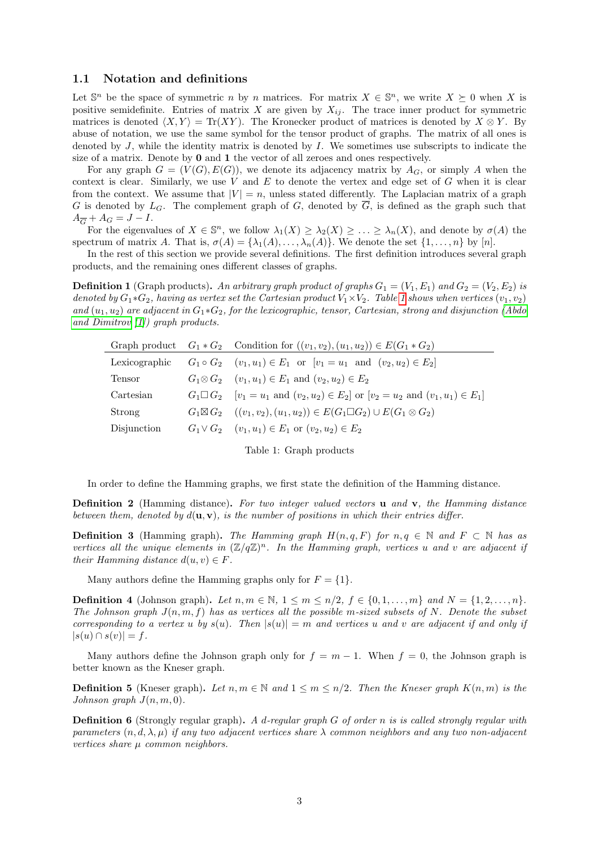#### <span id="page-2-0"></span>1.1 Notation and definitions

<span id="page-2-1"></span>J.

Let  $\mathbb{S}^n$  be the space of symmetric *n* by *n* matrices. For matrix  $X \in \mathbb{S}^n$ , we write  $X \succeq 0$  when X is positive semidefinite. Entries of matrix X are given by  $X_{ij}$ . The trace inner product for symmetric matrices is denoted  $\langle X, Y \rangle = \text{Tr}(XY)$ . The Kronecker product of matrices is denoted by  $X \otimes Y$ . By abuse of notation, we use the same symbol for the tensor product of graphs. The matrix of all ones is denoted by  $J$ , while the identity matrix is denoted by  $I$ . We sometimes use subscripts to indicate the size of a matrix. Denote by 0 and 1 the vector of all zeroes and ones respectively.

For any graph  $G = (V(G), E(G))$ , we denote its adjacency matrix by  $A_G$ , or simply A when the context is clear. Similarly, we use V and  $E$  to denote the vertex and edge set of G when it is clear from the context. We assume that  $|V| = n$ , unless stated differently. The Laplacian matrix of a graph G is denoted by  $L_G$ . The complement graph of G, denoted by  $\overline{G}$ , is defined as the graph such that  $A_{\overline{G}}+A_G=J-I.$ 

For the eigenvalues of  $X \in \mathbb{S}^n$ , we follow  $\lambda_1(X) \geq \lambda_2(X) \geq \ldots \geq \lambda_n(X)$ , and denote by  $\sigma(A)$  the spectrum of matrix A. That is,  $\sigma(A) = {\lambda_1(A), \ldots, \lambda_n(A)}$ . We denote the set  $\{1, \ldots, n\}$  by  $[n]$ .

In the rest of this section we provide several definitions. The first definition introduces several graph products, and the remaining ones different classes of graphs.

<span id="page-2-2"></span>**Definition 1** (Graph products). An arbitrary graph product of graphs  $G_1 = (V_1, E_1)$  and  $G_2 = (V_2, E_2)$  is denoted by  $G_1*G_2$ , having as vertex set the Cartesian product  $V_1\times V_2$ . Table [1](#page-2-1) shows when vertices  $(v_1, v_2)$ and  $(u_1, u_2)$  are adjacent in  $G_1 * G_2$ , for the lexicographic, tensor, Cartesian, strong and disjunction [\(Abdo](#page-23-1) [and Dimitrov](#page-23-1) [\[1\]](#page-23-1)) graph products.

|               | Graph product $G_1 * G_2$ Condition for $((v_1, v_2), (u_1, u_2)) \in E(G_1 * G_2)$                              |
|---------------|------------------------------------------------------------------------------------------------------------------|
| Lexicographic | $G_1 \circ G_2$ $(v_1, u_1) \in E_1$ or $[v_1 = u_1$ and $(v_2, u_2) \in E_2]$                                   |
| Tensor        | $G_1 \otimes G_2$ $(v_1, u_1) \in E_1$ and $(v_2, u_2) \in E_2$                                                  |
| Cartesian     | $G_1 \square G_2$ $[v_1 = u_1 \text{ and } (v_2, u_2) \in E_2]$ or $[v_2 = u_2 \text{ and } (v_1, u_1) \in E_1]$ |
| Strong        | $G_1 \boxtimes G_2$ $((v_1, v_2), (u_1, u_2)) \in E(G_1 \square G_2) \cup E(G_1 \otimes G_2)$                    |
| Disjunction   | $G_1 \vee G_2$ $(v_1, u_1) \in E_1$ or $(v_2, u_2) \in E_2$                                                      |

Table 1: Graph products

In order to define the Hamming graphs, we first state the definition of the Hamming distance.

<span id="page-2-6"></span>**Definition 2** (Hamming distance). For two integer valued vectors **u** and **v**, the Hamming distance between them, denoted by  $d(\mathbf{u}, \mathbf{v})$ , is the number of positions in which their entries differ.

<span id="page-2-7"></span>**Definition 3** (Hamming graph). The Hamming graph  $H(n,q,F)$  for  $n,q \in \mathbb{N}$  and  $F \subset \mathbb{N}$  has as vertices all the unique elements in  $(\mathbb{Z}/q\mathbb{Z})^n$ . In the Hamming graph, vertices u and v are adjacent if their Hamming distance  $d(u, v) \in F$ .

Many authors define the Hamming graphs only for  $F = \{1\}.$ 

<span id="page-2-4"></span>**Definition 4** (Johnson graph). Let  $n, m \in \mathbb{N}$ ,  $1 \leq m \leq n/2$ ,  $f \in \{0, 1, \ldots, m\}$  and  $N = \{1, 2, \ldots, n\}$ . The Johnson graph  $J(n, m, f)$  has as vertices all the possible m-sized subsets of N. Denote the subset corresponding to a vertex u by  $s(u)$ . Then  $|s(u)| = m$  and vertices u and v are adjacent if and only if  $|s(u) \cap s(v)| = f.$ 

Many authors define the Johnson graph only for  $f = m - 1$ . When  $f = 0$ , the Johnson graph is better known as the Kneser graph.

<span id="page-2-3"></span>**Definition 5** (Kneser graph). Let  $n, m \in \mathbb{N}$  and  $1 \le m \le n/2$ . Then the Kneser graph  $K(n, m)$  is the Johnson graph  $J(n, m, 0)$ .

<span id="page-2-5"></span>**Definition 6** (Strongly regular graph). A d-regular graph  $G$  of order n is is called strongly regular with parameters  $(n, d, \lambda, \mu)$  if any two adjacent vertices share  $\lambda$  common neighbors and any two non-adjacent vertices share µ common neighbors.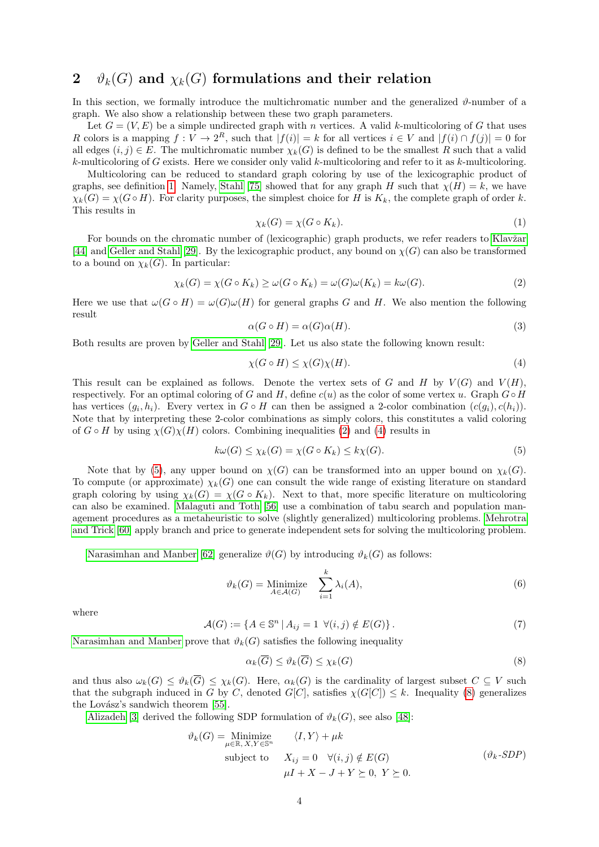# <span id="page-3-0"></span>2  $\vartheta_k(G)$  and  $\chi_k(G)$  formulations and their relation

In this section, we formally introduce the multichromatic number and the generalized  $\vartheta$ -number of a graph. We also show a relationship between these two graph parameters.

Let  $G = (V, E)$  be a simple undirected graph with n vertices. A valid k-multicoloring of G that uses R colors is a mapping  $f: V \to 2^R$ , such that  $|f(i)| = k$  for all vertices  $i \in V$  and  $|f(i) \cap f(j)| = 0$  for all edges  $(i, j) \in E$ . The multichromatic number  $\chi_k(G)$  is defined to be the smallest R such that a valid  $k$ -multicoloring of G exists. Here we consider only valid  $k$ -multicoloring and refer to it as  $k$ -multicoloring.

Multicoloring can be reduced to standard graph coloring by use of the lexicographic product of graphs, see definition [1.](#page-2-2) Namely, [Stahl \[75\]](#page-27-0) showed that for any graph H such that  $\chi(H) = k$ , we have  $\chi_k(G) = \chi(G \circ H)$ . For clarity purposes, the simplest choice for H is  $K_k$ , the complete graph of order k. This results in

$$
\chi_k(G) = \chi(G \circ K_k). \tag{1}
$$

For bounds on the chromatic number of (lexicographic) graph products, we refer readers to Klavžar [\[44\]](#page-26-15) and [Geller and Stahl \[29\]](#page-25-6). By the lexicographic product, any bound on  $\chi(G)$  can also be transformed to a bound on  $\chi_k(G)$ . In particular:

<span id="page-3-1"></span>
$$
\chi_k(G) = \chi(G \circ K_k) \ge \omega(G \circ K_k) = \omega(G)\omega(K_k) = k\omega(G). \tag{2}
$$

Here we use that  $\omega(G \circ H) = \omega(G)\omega(H)$  for general graphs G and H. We also mention the following result

<span id="page-3-9"></span>
$$
\alpha(G \circ H) = \alpha(G)\alpha(H). \tag{3}
$$

Both results are proven by [Geller and Stahl \[29\]](#page-25-6). Let us also state the following known result:

<span id="page-3-3"></span><span id="page-3-2"></span>
$$
\chi(G \circ H) \le \chi(G)\chi(H). \tag{4}
$$

This result can be explained as follows. Denote the vertex sets of G and H by  $V(G)$  and  $V(H)$ , respectively. For an optimal coloring of G and H, define  $c(u)$  as the color of some vertex u. Graph  $G \circ H$ has vertices  $(g_i, h_i)$ . Every vertex in  $G \circ H$  can then be assigned a 2-color combination  $(c(g_i), c(h_i))$ . Note that by interpreting these 2-color combinations as simply colors, this constitutes a valid coloring of  $G \circ H$  by using  $\chi(G)\chi(H)$  colors. Combining inequalities [\(2\)](#page-3-1) and [\(4\)](#page-3-2) results in

$$
k\omega(G) \le \chi_k(G) = \chi(G \circ K_k) \le k\chi(G). \tag{5}
$$

Note that by [\(5\)](#page-3-3), any upper bound on  $\chi(G)$  can be transformed into an upper bound on  $\chi_k(G)$ . To compute (or approximate)  $\chi_k(G)$  one can consult the wide range of existing literature on standard graph coloring by using  $\chi_k(G) = \chi(G \circ K_k)$ . Next to that, more specific literature on multicoloring can also be examined. [Malaguti and Toth \[56\]](#page-26-16) use a combination of tabu search and population management procedures as a metaheuristic to solve (slightly generalized) multicoloring problems. [Mehrotra](#page-26-17) [and Trick \[60\]](#page-26-17) apply branch and price to generate independent sets for solving the multicoloring problem.

[Narasimhan and Manber \[62\]](#page-26-9) generalize  $\vartheta(G)$  by introducing  $\vartheta_k(G)$  as follows:

<span id="page-3-7"></span>
$$
\vartheta_k(G) = \underset{A \in \mathcal{A}(G)}{\text{Minimize}} \quad \sum_{i=1}^k \lambda_i(A),\tag{6}
$$

where

<span id="page-3-8"></span>
$$
\mathcal{A}(G) := \{ A \in \mathbb{S}^n \mid A_{ij} = 1 \ \forall (i,j) \notin E(G) \}.
$$
\n
$$
(7)
$$

[Narasimhan and Manber](#page-26-9) prove that  $\vartheta_k(G)$  satisfies the following inequality

<span id="page-3-5"></span><span id="page-3-4"></span>
$$
\alpha_k(\overline{G}) \le \vartheta_k(\overline{G}) \le \chi_k(G) \tag{8}
$$

and thus also  $\omega_k(G) \leq \vartheta_k(\overline{G}) \leq \chi_k(G)$ . Here,  $\alpha_k(G)$  is the cardinality of largest subset  $C \subseteq V$  such that the subgraph induced in G by C, denoted  $G[C]$ , satisfies  $\chi(G[C]) \leq k$ . Inequality [\(8\)](#page-3-4) generalizes the Lovász's sandwich theorem  $[55]$ .

[Alizadeh \[3\]](#page-24-5) derived the following SDP formulation of  $\vartheta_k(G)$ , see also [\[48\]](#page-26-14):

<span id="page-3-6"></span>
$$
\vartheta_k(G) = \underset{\mu \in \mathbb{R}, X, Y \in \mathbb{S}^n}{\text{Minimize}} \quad \langle I, Y \rangle + \mu k
$$
  
subject to 
$$
X_{ij} = 0 \quad \forall (i, j) \notin E(G)
$$

$$
\mu I + X - J + Y \succeq 0, Y \succeq 0.
$$

$$
( \vartheta_k \text{-SDP} )
$$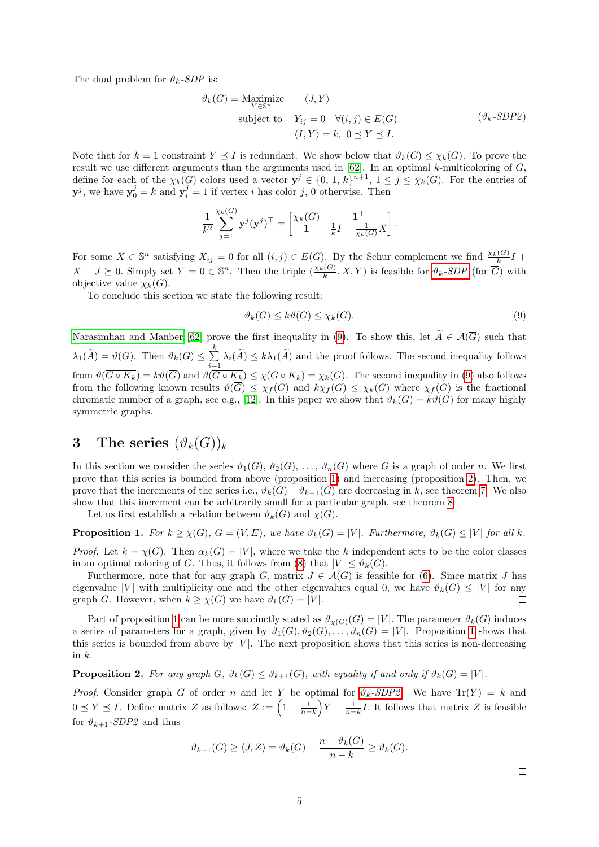The dual problem for  $\vartheta_k$ -SDP is:

<span id="page-4-3"></span>
$$
\vartheta_k(G) = \underset{Y \in \mathbb{S}^n}{\text{Maximize}} \quad \langle J, Y \rangle
$$
  
subject to  $Y_{ij} = 0 \quad \forall (i, j) \in E(G)$   $(\vartheta_k \text{-SDP2})$   
 $\langle I, Y \rangle = k, 0 \le Y \le I.$ 

Note that for  $k = 1$  constraint  $Y \preceq I$  is redundant. We show below that  $\vartheta_k(\overline{G}) \leq \chi_k(G)$ . To prove the result we use different arguments than the arguments used in  $[62]$ . In an optimal k-multicoloring of  $G$ , define for each of the  $\chi_k(G)$  colors used a vector  $y^j \in \{0, 1, k\}^{n+1}, 1 \leq j \leq \chi_k(G)$ . For the entries of  $y^j$ , we have  $y_0^j = k$  and  $y_i^j = 1$  if vertex *i* has color *j*, 0 otherwise. Then

$$
\frac{1}{k^2} \sum_{j=1}^{\chi_k(G)} \mathbf{y}^j (\mathbf{y}^j)^\top = \begin{bmatrix} \chi_k(G) & \mathbf{1}^\top \\ \mathbf{1} & \frac{1}{k} I + \frac{1}{\chi_k(G)} X \end{bmatrix}.
$$

For some  $X \in \mathbb{S}^n$  satisfying  $X_{ij} = 0$  for all  $(i, j) \in E(G)$ . By the Schur complement we find  $\frac{\chi_k(G)}{k}I$  +  $X-J \succeq 0$ . Simply set  $Y=0 \in \mathbb{S}^n$ . Then the triple  $(\frac{\chi_k(G)}{k},X,Y)$  is feasible for  $\vartheta_k$ [-SDP](#page-3-5) (for  $\overline{G}$ ) with objective value  $\chi_k(G)$ .

To conclude this section we state the following result:

$$
\vartheta_k(\overline{G}) \le k\vartheta(\overline{G}) \le \chi_k(G). \tag{9}
$$

[Narasimhan and Manber \[62\]](#page-26-9) prove the first inequality in [\(9\)](#page-3-6). To show this, let  $\widetilde{A} \in \mathcal{A}(\overline{G})$  such that  $\lambda_1(\widetilde{A}) = \vartheta(\overline{G}).$  Then  $\vartheta_k(\overline{G}) \leq \sum_{i=1}^k$  $\sum_{i=1} \lambda_i(A) \leq k\lambda_1(A)$  and the proof follows. The second inequality follows from  $\vartheta(\overline{G \circ K_k}) = k\vartheta(\overline{G})$  and  $\vartheta(\overline{G \circ K_k}) \leq \chi(G \circ K_k) = \chi_k(G)$ . The second inequality in [\(9\)](#page-3-6) also follows from the following known results  $\vartheta(\overline{G}) \leq \chi_f(G)$  and  $k\chi_f(G) \leq \chi_k(G)$  where  $\chi_f(G)$  is the fractional chromatic number of a graph, see e.g., [\[12\]](#page-24-6). In this paper we show that  $\vartheta_k(G) = k\vartheta(G)$  for many highly symmetric graphs.

## <span id="page-4-0"></span>3 The series  $(\vartheta_k(G))_k$

In this section we consider the series  $\vartheta_1(G), \vartheta_2(G), \ldots, \vartheta_n(G)$  where G is a graph of order n. We first prove that this series is bounded from above (proposition [1\)](#page-4-1) and increasing (proposition [2\)](#page-4-2). Then, we prove that the increments of the series i.e.,  $\vartheta_k(G) - \vartheta_{k-1}(G)$  are decreasing in k, see theorem [7.](#page-5-0) We also show that this increment can be arbitrarily small for a particular graph, see theorem [8.](#page-5-1)

Let us first establish a relation between  $\vartheta_k(G)$  and  $\chi(G)$ .

<span id="page-4-1"></span>**Proposition 1.** For  $k \ge \chi(G)$ ,  $G = (V, E)$ , we have  $\vartheta_k(G) = |V|$ . Furthermore,  $\vartheta_k(G) \le |V|$  for all k.

*Proof.* Let  $k = \chi(G)$ . Then  $\alpha_k(G) = |V|$ , where we take the k independent sets to be the color classes in an optimal coloring of G. Thus, it follows from [\(8\)](#page-3-4) that  $|V| \leq \vartheta_k(G)$ .

Furthermore, note that for any graph G, matrix  $J \in \mathcal{A}(G)$  is feasible for [\(6\)](#page-3-7). Since matrix J has eigenvalue |V| with multiplicity one and the other eigenvalues equal 0, we have  $\vartheta_k(G) \leq |V|$  for any graph G. However, when  $k \geq \chi(G)$  we have  $\vartheta_k(G) = |V|$ .  $\Box$ 

Part of proposition [1](#page-4-1) can be more succinctly stated as  $\vartheta_{\chi(G)}(G) = |V|$ . The parameter  $\vartheta_k(G)$  induces a series of parameters for a graph, given by  $\vartheta_1(G), \vartheta_2(G), \ldots, \vartheta_n(G) = |V|$ . Proposition [1](#page-4-1) shows that this series is bounded from above by  $|V|$ . The next proposition shows that this series is non-decreasing in  $k$ .

<span id="page-4-2"></span>**Proposition 2.** For any graph  $G$ ,  $\vartheta_k(G) \leq \vartheta_{k+1}(G)$ , with equality if and only if  $\vartheta_k(G) = |V|$ .

*Proof.* Consider graph G of order n and let Y be optimal for  $\vartheta_k$ [-SDP2](#page-4-3). We have Tr(Y) = k and  $0 \leq Y \leq I$ . Define matrix Z as follows:  $Z := \left(1 - \frac{1}{n-k}\right)Y + \frac{1}{n-k}I$ . It follows that matrix Z is feasible for  $\vartheta_{k+1}$ -SDP2 and thus

$$
\vartheta_{k+1}(G) \ge \langle J, Z \rangle = \vartheta_k(G) + \frac{n - \vartheta_k(G)}{n - k} \ge \vartheta_k(G).
$$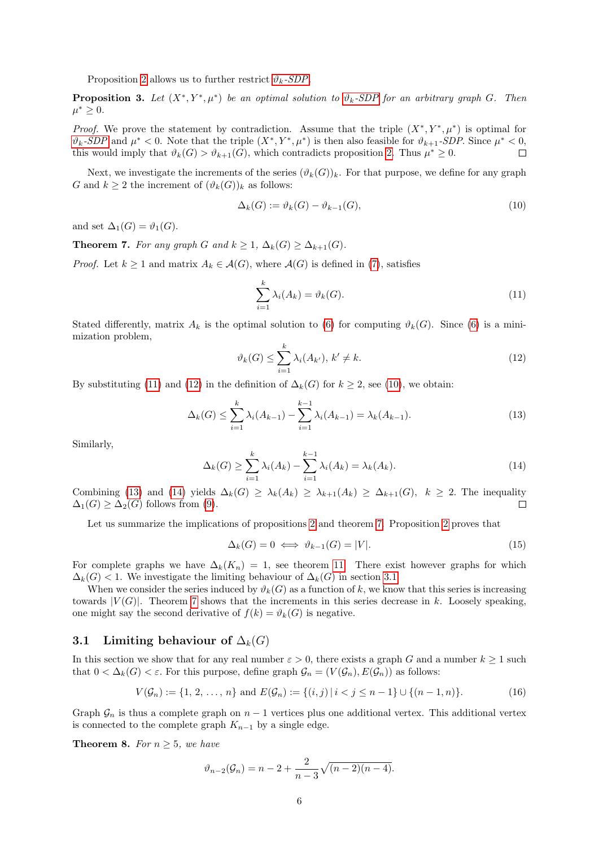Proposition [2](#page-4-2) allows us to further restrict  $\vartheta_k$ [-SDP](#page-3-5).

<span id="page-5-8"></span>**Proposition 3.** Let  $(X^*, Y^*, \mu^*)$  be an optimal solution to  $\vartheta_k$ [-SDP](#page-3-5) for an arbitrary graph G. Then  $\mu^* \geq 0.$ 

*Proof.* We prove the statement by contradiction. Assume that the triple  $(X^*, Y^*, \mu^*)$  is optimal for  $\vartheta_k$ [-SDP](#page-3-5) and  $\mu^* < 0$ . Note that the triple  $(X^*, Y^*, \mu^*)$  is then also feasible for  $\vartheta_{k+1}$ -SDP. Since  $\mu^* < 0$ , this would imply that  $\vartheta_k(G) > \vartheta_{k+1}(G)$ , which contradicts proposition [2.](#page-4-2) Thus  $\mu^* \geq 0$ .  $\Box$ 

Next, we investigate the increments of the series  $(\vartheta_k(G))_k$ . For that purpose, we define for any graph G and  $k \geq 2$  the increment of  $(\vartheta_k(G))_k$  as follows:

<span id="page-5-4"></span>
$$
\Delta_k(G) := \vartheta_k(G) - \vartheta_{k-1}(G),\tag{10}
$$

and set  $\Delta_1(G) = \vartheta_1(G)$ .

<span id="page-5-0"></span>**Theorem 7.** For any graph G and  $k \geq 1$ ,  $\Delta_k(G) \geq \Delta_{k+1}(G)$ .

*Proof.* Let  $k \geq 1$  and matrix  $A_k \in \mathcal{A}(G)$ , where  $\mathcal{A}(G)$  is defined in [\(7\)](#page-3-8), satisfies

<span id="page-5-2"></span>
$$
\sum_{i=1}^{k} \lambda_i(A_k) = \vartheta_k(G). \tag{11}
$$

Stated differently, matrix  $A_k$  is the optimal solution to [\(6\)](#page-3-7) for computing  $\vartheta_k(G)$ . Since (6) is a minimization problem,

<span id="page-5-3"></span>
$$
\vartheta_k(G) \le \sum_{i=1}^k \lambda_i(A_{k'}), \, k' \ne k. \tag{12}
$$

By substituting [\(11\)](#page-5-2) and [\(12\)](#page-5-3) in the definition of  $\Delta_k(G)$  for  $k \geq 2$ , see [\(10\)](#page-5-4), we obtain:

<span id="page-5-5"></span>
$$
\Delta_k(G) \le \sum_{i=1}^k \lambda_i(A_{k-1}) - \sum_{i=1}^{k-1} \lambda_i(A_{k-1}) = \lambda_k(A_{k-1}).
$$
\n(13)

Similarly,

<span id="page-5-6"></span>
$$
\Delta_k(G) \ge \sum_{i=1}^k \lambda_i(A_k) - \sum_{i=1}^{k-1} \lambda_i(A_k) = \lambda_k(A_k). \tag{14}
$$

Combining [\(13\)](#page-5-5) and [\(14\)](#page-5-6) yields  $\Delta_k(G) \geq \lambda_k(A_k) \geq \lambda_{k+1}(A_k) \geq \Delta_{k+1}(G)$ ,  $k \geq 2$ . The inequality  $\Delta_1(G) \geq \Delta_2(G)$  follows from [\(9\)](#page-3-6).  $\Box$ 

Let us summarize the implications of propositions [2](#page-4-2) and theorem [7.](#page-5-0) Proposition [2](#page-4-2) proves that

<span id="page-5-9"></span>
$$
\Delta_k(G) = 0 \iff \vartheta_{k-1}(G) = |V|.
$$
\n(15)

For complete graphs we have  $\Delta_k(K_n) = 1$ , see theorem [11.](#page-8-1) There exist however graphs for which  $\Delta_k(G)$  < 1. We investigate the limiting behaviour of  $\Delta_k(G)$  in section [3.1.](#page-5-7)

When we consider the series induced by  $\vartheta_k(G)$  as a function of k, we know that this series is increasing towards  $|V(G)|$ . Theorem [7](#page-5-0) shows that the increments in this series decrease in k. Loosely speaking, one might say the second derivative of  $f(k) = \vartheta_k(G)$  is negative.

#### <span id="page-5-7"></span>3.1 Limiting behaviour of  $\Delta_k(G)$

In this section we show that for any real number  $\varepsilon > 0$ , there exists a graph G and a number  $k \ge 1$  such that  $0 < \Delta_k(G) < \varepsilon$ . For this purpose, define graph  $\mathcal{G}_n = (V(\mathcal{G}_n), E(\mathcal{G}_n))$  as follows:

<span id="page-5-10"></span>
$$
V(\mathcal{G}_n) := \{1, 2, \dots, n\} \text{ and } E(\mathcal{G}_n) := \{(i, j) \mid i < j \le n - 1\} \cup \{(n - 1, n)\}. \tag{16}
$$

Graph  $\mathcal{G}_n$  is thus a complete graph on  $n-1$  vertices plus one additional vertex. This additional vertex is connected to the complete graph  $K_{n-1}$  by a single edge.

<span id="page-5-1"></span>**Theorem 8.** For  $n \geq 5$ , we have

$$
\vartheta_{n-2}(\mathcal{G}_n) = n - 2 + \frac{2}{n-3}\sqrt{(n-2)(n-4)}.
$$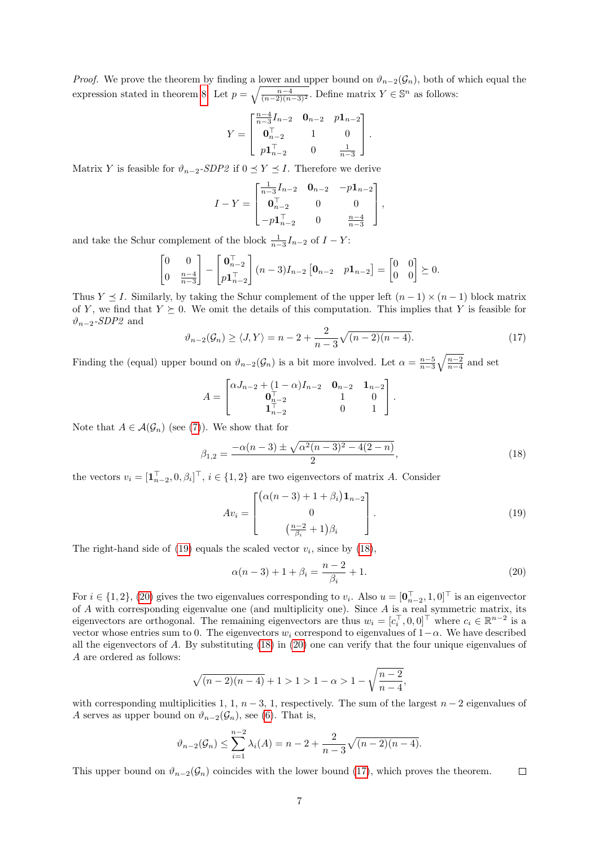*Proof.* We prove the theorem by finding a lower and upper bound on  $\vartheta_{n-2}(\mathcal{G}_n)$ , both of which equal the expression stated in theorem [8.](#page-5-1) Let  $p = \sqrt{\frac{n-4}{(n-2)(n-3)^2}}$ . Define matrix  $Y \in \mathbb{S}^n$  as follows:

$$
Y = \begin{bmatrix} \frac{n-4}{n-3}I_{n-2} & \mathbf{0}_{n-2} & p\mathbf{1}_{n-2} \\ \mathbf{0}_{n-2}^{\top} & 1 & 0 \\ p\mathbf{1}_{n-2}^{\top} & 0 & \frac{1}{n-3} \end{bmatrix}.
$$

Matrix Y is feasible for  $\vartheta_{n-2}$ -SDP2 if  $0 \le Y \le I$ . Therefore we derive

$$
I - Y = \begin{bmatrix} \frac{1}{n-3}I_{n-2} & \mathbf{0}_{n-2} & -p\mathbf{1}_{n-2} \\ \mathbf{0}_{n-2}^{\top} & 0 & 0 \\ -p\mathbf{1}_{n-2}^{\top} & 0 & \frac{n-4}{n-3} \end{bmatrix},
$$

and take the Schur complement of the block  $\frac{1}{n-3}I_{n-2}$  of  $I - Y$ :

$$
\begin{bmatrix} 0 & 0 \ 0 & \frac{n-4}{n-3} \end{bmatrix} - \begin{bmatrix} \mathbf{0}_{n-2}^{\top} \\ p\mathbf{1}_{n-2}^{\top} \end{bmatrix} (n-3) I_{n-2} \begin{bmatrix} \mathbf{0}_{n-2} & p\mathbf{1}_{n-2} \end{bmatrix} = \begin{bmatrix} 0 & 0 \\ 0 & 0 \end{bmatrix} \succeq 0.
$$

Thus  $Y \leq I$ . Similarly, by taking the Schur complement of the upper left  $(n-1) \times (n-1)$  block matrix of Y, we find that  $Y \succeq 0$ . We omit the details of this computation. This implies that Y is feasible for  $\vartheta_{n-2}$ -SDP2 and

<span id="page-6-3"></span>
$$
\vartheta_{n-2}(\mathcal{G}_n) \ge \langle J, Y \rangle = n - 2 + \frac{2}{n-3} \sqrt{(n-2)(n-4)}.
$$
\n(17)

Finding the (equal) upper bound on  $\vartheta_{n-2}(\mathcal{G}_n)$  is a bit more involved. Let  $\alpha = \frac{n-5}{n-3}\sqrt{\frac{n-2}{n-4}}$  and set

$$
A = \begin{bmatrix} \alpha J_{n-2} + (1 - \alpha) I_{n-2} & \mathbf{0}_{n-2} & \mathbf{1}_{n-2} \\ \mathbf{0}_{n-2}^{\top} & 1 & 0 \\ \mathbf{1}_{n-2}^{\top} & 0 & 1 \end{bmatrix}.
$$

Note that  $A \in \mathcal{A}(\mathcal{G}_n)$  (see [\(7\)](#page-3-8)). We show that for

$$
\beta_{1,2} = \frac{-\alpha(n-3) \pm \sqrt{\alpha^2(n-3)^2 - 4(2-n)}}{2},\tag{18}
$$

the vectors  $v_i = [\mathbf{1}_{n-2}^\top, 0, \beta_i]^\top$ ,  $i \in \{1, 2\}$  are two eigenvectors of matrix A. Consider

<span id="page-6-1"></span><span id="page-6-0"></span>
$$
Av_i = \begin{bmatrix} (\alpha(n-3) + 1 + \beta_i) \mathbf{1}_{n-2} \\ 0 \\ (\frac{n-2}{\beta_i} + 1)\beta_i \end{bmatrix} . \tag{19}
$$

The right-hand side of  $(19)$  equals the scaled vector  $v_i$ , since by  $(18)$ ,

<span id="page-6-2"></span>
$$
\alpha(n-3) + 1 + \beta_i = \frac{n-2}{\beta_i} + 1.
$$
\n(20)

For  $i \in \{1, 2\}$ , [\(20\)](#page-6-2) gives the two eigenvalues corresponding to  $v_i$ . Also  $u = [\mathbf{0}_{n-2}^{\top}, 1, 0]^{\top}$  is an eigenvector of A with corresponding eigenvalue one (and multiplicity one). Since A is a real symmetric matrix, its eigenvectors are orthogonal. The remaining eigenvectors are thus  $w_i = [c_i^{\top}, 0, 0]^{\top}$  where  $c_i \in \mathbb{R}^{n-2}$  is a vector whose entries sum to 0. The eigenvectors  $w_i$  correspond to eigenvalues of  $1-\alpha$ . We have described all the eigenvectors of A. By substituting [\(18\)](#page-6-1) in [\(20\)](#page-6-2) one can verify that the four unique eigenvalues of A are ordered as follows:

$$
\sqrt{(n-2)(n-4)} + 1 > 1 > 1 - \alpha > 1 - \sqrt{\frac{n-2}{n-4}},
$$

with corresponding multiplicities 1, 1,  $n-3$ , 1, respectively. The sum of the largest  $n-2$  eigenvalues of A serves as upper bound on  $\vartheta_{n-2}(\mathcal{G}_n)$ , see [\(6\)](#page-3-7). That is,

$$
\vartheta_{n-2}(\mathcal{G}_n) \leq \sum_{i=1}^{n-2} \lambda_i(A) = n - 2 + \frac{2}{n-3} \sqrt{(n-2)(n-4)}.
$$

This upper bound on  $\vartheta_{n-2}(\mathcal{G}_n)$  coincides with the lower bound [\(17\)](#page-6-3), which proves the theorem.  $\Box$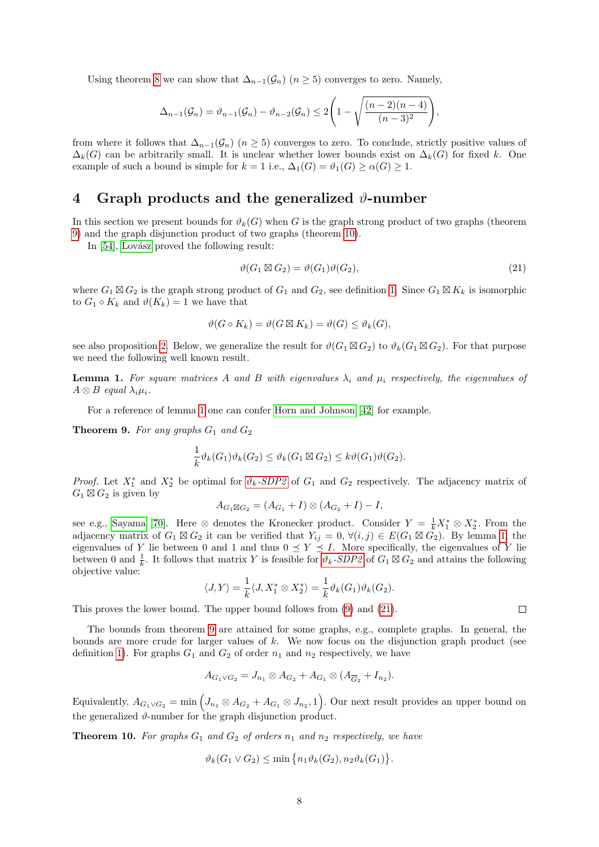Using theorem [8](#page-5-1) we can show that  $\Delta_{n-1}(\mathcal{G}_n)$  ( $n \geq 5$ ) converges to zero. Namely,

$$
\Delta_{n-1}(\mathcal{G}_n)=\vartheta_{n-1}(\mathcal{G}_n)-\vartheta_{n-2}(\mathcal{G}_n)\leq 2\Bigg(1-\sqrt{\frac{(n-2)(n-4)}{(n-3)^2}}\Bigg),
$$

from where it follows that  $\Delta_{n-1}(\mathcal{G}_n)$  ( $n \geq 5$ ) converges to zero. To conclude, strictly positive values of  $\Delta_k(G)$  can be arbitrarily small. It is unclear whether lower bounds exist on  $\Delta_k(G)$  for fixed k. One example of such a bound is simple for  $k = 1$  i.e.,  $\Delta_1(G) = \vartheta_1(G) > \alpha(G) > 1$ .

### <span id="page-7-0"></span>4 Graph products and the generalized  $\vartheta$ -number

In this section we present bounds for  $\vartheta_k(G)$  when G is the graph strong product of two graphs (theorem [9\)](#page-7-1) and the graph disjunction product of two graphs (theorem [10\)](#page-7-2).

In [\[54\]](#page-26-10), Lovász proved the following result:

<span id="page-7-4"></span>
$$
\vartheta(G_1 \boxtimes G_2) = \vartheta(G_1)\vartheta(G_2),\tag{21}
$$

where  $G_1 \boxtimes G_2$  is the graph strong product of  $G_1$  and  $G_2$ , see definition [1.](#page-2-2) Since  $G_1 \boxtimes K_k$  is isomorphic to  $G_1 \circ K_k$  and  $\vartheta(K_k) = 1$  we have that

$$
\vartheta(G \circ K_k) = \vartheta(G \boxtimes K_k) = \vartheta(G) \le \vartheta_k(G),
$$

see also proposition [2.](#page-4-2) Below, we generalize the result for  $\vartheta(G_1 \boxtimes G_2)$  to  $\vartheta_k(G_1 \boxtimes G_2)$ . For that purpose we need the following well known result.

<span id="page-7-3"></span>**Lemma 1.** For square matrices A and B with eigenvalues  $\lambda_i$  and  $\mu_i$  respectively, the eigenvalues of  $A \otimes B$  equal  $\lambda_i \mu_i$ .

For a reference of lemma [1](#page-7-3) one can confer [Horn and Johnson \[42\]](#page-25-7) for example.

<span id="page-7-1"></span>**Theorem 9.** For any graphs  $G_1$  and  $G_2$ 

$$
\frac{1}{k}\vartheta_k(G_1)\vartheta_k(G_2) \leq \vartheta_k(G_1 \boxtimes G_2) \leq k\vartheta(G_1)\vartheta(G_2).
$$

*Proof.* Let  $X_1^*$  and  $X_2^*$  be optimal for  $\vartheta_k$ [-SDP2](#page-4-3) of  $G_1$  and  $G_2$  respectively. The adjacency matrix of  $G_1 \boxtimes G_2$  is given by

$$
A_{G_1 \boxtimes G_2} = (A_{G_1} + I) \otimes (A_{G_2} + I) - I,
$$

see e.g., [Sayama \[70\]](#page-27-7). Here ⊗ denotes the Kronecker product. Consider  $Y = \frac{1}{k}X_1^* \otimes X_2^*$ . From the adjacency matrix of  $G_1 \boxtimes G_2$  it can be verified that  $Y_{ij} = 0, \forall (i, j) \in E(G_1 \boxtimes G_2)$ . By lemma [1,](#page-7-3) the eigenvalues of Y lie between 0 and 1 and thus  $0 \le Y \le I$ . More specifically, the eigenvalues of Y lie between 0 and  $\frac{1}{k}$ . It follows that matrix Y is feasible for  $\vartheta_k$ [-SDP2](#page-4-3) of  $G_1 \boxtimes G_2$  and attains the following objective value:

$$
\langle J, Y \rangle = \frac{1}{k} \langle J, X_1^* \otimes X_2^* \rangle = \frac{1}{k} \vartheta_k(G_1) \vartheta_k(G_2).
$$

This proves the lower bound. The upper bound follows from [\(9\)](#page-3-6) and [\(21\)](#page-7-4).

The bounds from theorem [9](#page-7-1) are attained for some graphs, e.g., complete graphs. In general, the bounds are more crude for larger values of  $k$ . We now focus on the disjunction graph product (see definition [1\)](#page-2-2). For graphs  $G_1$  and  $G_2$  of order  $n_1$  and  $n_2$  respectively, we have

$$
A_{G_1 \vee G_2} = J_{n_1} \otimes A_{G_2} + A_{G_1} \otimes (A_{\overline{G}_2} + I_{n_2}).
$$

Equivalently,  $A_{G_1 \vee G_2} = \min \left( J_{n_1} \otimes A_{G_2} + A_{G_1} \otimes J_{n_2}, 1 \right)$ . Our next result provides an upper bound on the generalized  $\vartheta$ -number for the graph disjunction product.

<span id="page-7-2"></span>**Theorem 10.** For graphs  $G_1$  and  $G_2$  of orders  $n_1$  and  $n_2$  respectively, we have

$$
\vartheta_k(G_1 \vee G_2) \le \min\left\{n_1 \vartheta_k(G_2), n_2 \vartheta_k(G_1)\right\}.
$$

 $\Box$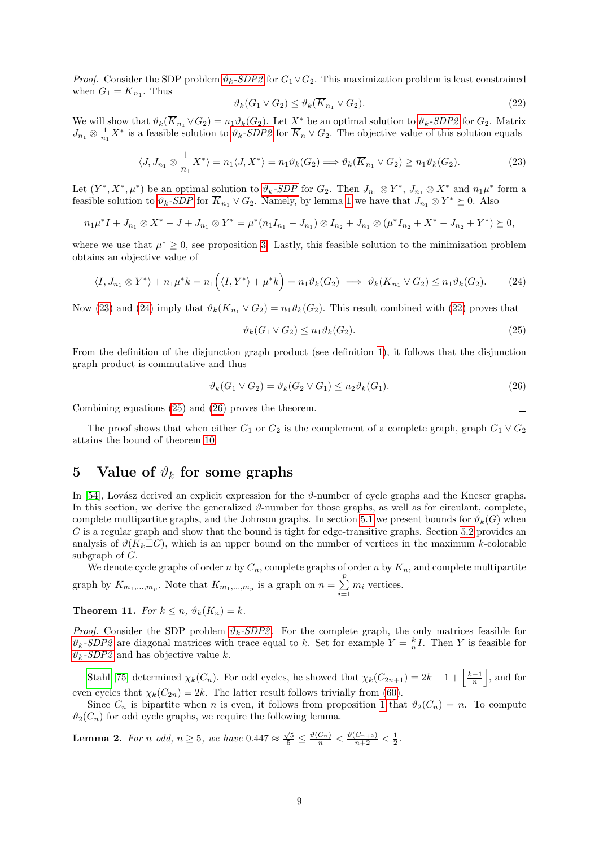*Proof.* Consider the SDP problem  $\vartheta_k$ [-SDP2](#page-4-3) for  $G_1 \vee G_2$ . This maximization problem is least constrained when  $G_1 = K_{n_1}$ . Thus

<span id="page-8-4"></span>
$$
\vartheta_k(G_1 \vee G_2) \le \vartheta_k(\overline{K}_{n_1} \vee G_2). \tag{22}
$$

We will show that  $\vartheta_k(\overline{K}_{n_1} \vee G_2) = n_1 \vartheta_k(G_2)$ . Let  $\underline{X}^*$  be an optimal solution to  $\vartheta_k$ [-SDP2](#page-4-3) for  $G_2$ . Matrix  $J_{n_1} \otimes \frac{1}{n_1} X^*$  is a feasible solution to  $\vartheta_k$ [-SDP2](#page-4-3) for  $\overline{K}_n \vee G_2$ . The objective value of this solution equals

<span id="page-8-2"></span>
$$
\langle J, J_{n_1} \otimes \frac{1}{n_1} X^* \rangle = n_1 \langle J, X^* \rangle = n_1 \vartheta_k(G_2) \Longrightarrow \vartheta_k(\overline{K}_{n_1} \vee G_2) \ge n_1 \vartheta_k(G_2). \tag{23}
$$

Let  $(Y^*, X^*, \mu^*)$  be an optimal solution to  $\vartheta_k$ [-SDP](#page-3-5) for  $G_2$ . Then  $J_{n_1} \otimes Y^*$ ,  $J_{n_1} \otimes X^*$  and  $n_1\mu^*$  form a feasible solution to  $\vartheta_k$ [-SDP](#page-3-5) for  $\overline{K}_{n_1} \vee G_2$ . Namely, by lemma [1](#page-7-3) we have that  $J_{n_1} \otimes Y^* \succeq 0$ . Also

$$
n_1\mu^*I + J_{n_1} \otimes X^* - J + J_{n_1} \otimes Y^* = \mu^*(n_1I_{n_1} - J_{n_1}) \otimes I_{n_2} + J_{n_1} \otimes (\mu^*I_{n_2} + X^* - J_{n_2} + Y^*) \succeq 0,
$$

where we use that  $\mu^* \geq 0$ , see proposition [3.](#page-5-8) Lastly, this feasible solution to the minimization problem obtains an objective value of

<span id="page-8-3"></span>
$$
\langle I, J_{n_1} \otimes Y^* \rangle + n_1 \mu^* k = n_1 \Big( \langle I, Y^* \rangle + \mu^* k \Big) = n_1 \vartheta_k(G_2) \implies \vartheta_k(\overline{K}_{n_1} \vee G_2) \le n_1 \vartheta_k(G_2). \tag{24}
$$

Now [\(23\)](#page-8-2) and [\(24\)](#page-8-3) imply that  $\vartheta_k(\overline{K}_{n_1} \vee G_2) = n_1 \vartheta_k(G_2)$ . This result combined with [\(22\)](#page-8-4) proves that

<span id="page-8-5"></span>
$$
\vartheta_k(G_1 \vee G_2) \le n_1 \vartheta_k(G_2). \tag{25}
$$

 $\Box$ 

From the definition of the disjunction graph product (see definition [1\)](#page-2-2), it follows that the disjunction graph product is commutative and thus

<span id="page-8-6"></span>
$$
\vartheta_k(G_1 \vee G_2) = \vartheta_k(G_2 \vee G_1) \le n_2 \vartheta_k(G_1). \tag{26}
$$

Combining equations [\(25\)](#page-8-5) and [\(26\)](#page-8-6) proves the theorem.

The proof shows that when either  $G_1$  or  $G_2$  is the complement of a complete graph, graph  $G_1 \vee G_2$ attains the bound of theorem [10.](#page-7-2)

## <span id="page-8-0"></span>5 Value of  $\vartheta_k$  for some graphs

In [\[54\]](#page-26-10), Lovász derived an explicit expression for the  $\vartheta$ -number of cycle graphs and the Kneser graphs. In this section, we derive the generalized  $\vartheta$ -number for those graphs, as well as for circulant, complete, complete multipartite graphs, and the Johnson graphs. In section [5.1](#page-10-0) we present bounds for  $\vartheta_k(G)$  when G is a regular graph and show that the bound is tight for edge-transitive graphs. Section [5.2](#page-12-0) provides an analysis of  $\vartheta(K_k \Box G)$ , which is an upper bound on the number of vertices in the maximum k-colorable subgraph of G.

We denote cycle graphs of order n by  $C_n$ , complete graphs of order n by  $K_n$ , and complete multipartite graph by  $K_{m_1,...,m_p}$ . Note that  $K_{m_1,...,m_p}$  is a graph on  $n = \sum^p$  $\sum_{i=1}^m m_i$  vertices.

<span id="page-8-1"></span>**Theorem 11.** For  $k \leq n$ ,  $\vartheta_k(K_n) = k$ .

*Proof.* Consider the SDP problem  $\vartheta_k$ [-SDP2](#page-4-3). For the complete graph, the only matrices feasible for  $\vartheta_k$ [-SDP2](#page-4-3) are diagonal matrices with trace equal to k. Set for example  $Y = \frac{k}{n}I$ . Then Y is feasible for  $\vartheta_k$ [-SDP2](#page-4-3) and has objective value k.  $\Box$ 

[Stahl \[75\]](#page-27-0) determined  $\chi_k(C_n)$ . For odd cycles, he showed that  $\chi_k(C_{2n+1}) = 2k+1+\left|\frac{k-1}{n}\right|$ , and for even cycles that  $\chi_k(C_{2n}) = 2k$ . The latter result follows trivially from [\(60\)](#page-22-0).

Since  $C_n$  is bipartite when n is even, it follows from proposition [1](#page-4-1) that  $\vartheta_2(C_n) = n$ . To compute  $\vartheta_2(C_n)$  for odd cycle graphs, we require the following lemma.

<span id="page-8-7"></span>**Lemma 2.** For n odd,  $n \ge 5$ , we have  $0.447 \approx \frac{\sqrt{5}}{5} \le \frac{\vartheta(C_n)}{n} < \frac{\vartheta(C_{n+2})}{n+2} < \frac{1}{2}$ .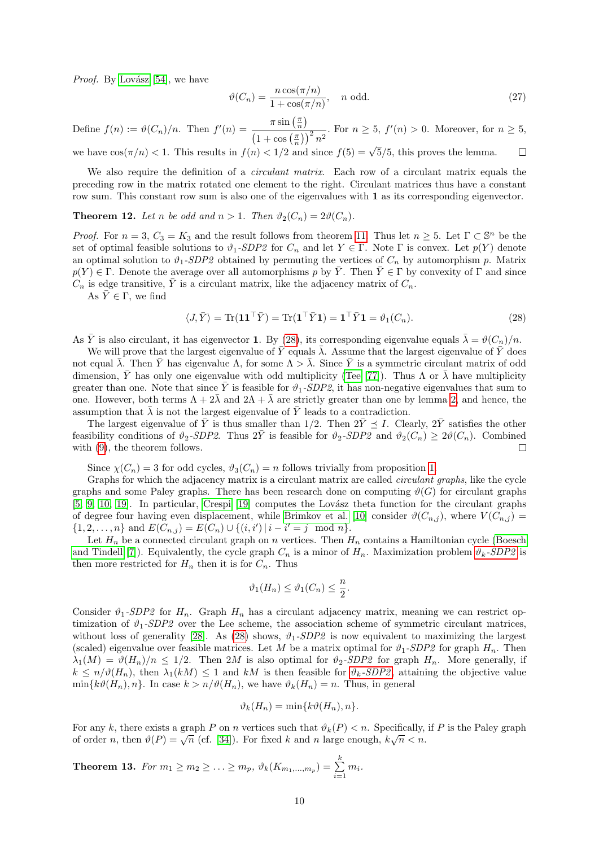*Proof.* By Lovász [54], we have

$$
\vartheta(C_n) = \frac{n \cos(\pi/n)}{1 + \cos(\pi/n)}, \quad n \text{ odd.}
$$
\n(27)

Define  $f(n) := \vartheta(C_n)/n$ . Then  $f'(n) = \frac{\pi \sin(\frac{\pi}{n})}{\sqrt{n}}$  $\left(1+\cos\left(\frac{\pi}{n}\right)\right)^2n^2$ . For  $n \geq 5$ ,  $f'(n) > 0$ . Moreover, for  $n \geq 5$ ,

we have  $\cos(\pi/n) < 1$ . This results in  $f(n) < 1/2$  and since  $f(5) = \sqrt{5}/5$ , this proves the lemma.  $\Box$ 

We also require the definition of a *circulant matrix*. Each row of a circulant matrix equals the preceding row in the matrix rotated one element to the right. Circulant matrices thus have a constant row sum. This constant row sum is also one of the eigenvalues with 1 as its corresponding eigenvector.

<span id="page-9-2"></span>**Theorem 12.** Let n be odd and  $n > 1$ . Then  $\vartheta_2(C_n) = 2\vartheta(C_n)$ .

*Proof.* For  $n = 3$ ,  $C_3 = K_3$  and the result follows from theorem [11.](#page-8-1) Thus let  $n \geq 5$ . Let  $\Gamma \subset \mathbb{S}^n$  be the set of optimal feasible solutions to  $\vartheta_1\text{-}SDP2$  for  $C_n$  and let  $Y \in \Gamma$ . Note  $\Gamma$  is convex. Let  $p(Y)$  denote an optimal solution to  $\vartheta_1$ -SDP2 obtained by permuting the vertices of  $C_n$  by automorphism p. Matrix  $p(Y) \in \Gamma$ . Denote the average over all automorphisms p by  $\overline{Y}$ . Then  $\overline{Y} \in \Gamma$  by convexity of  $\Gamma$  and since  $C_n$  is edge transitive,  $\overline{Y}$  is a circulant matrix, like the adjacency matrix of  $C_n$ .

As  $\overline{Y} \in \Gamma$ , we find

<span id="page-9-0"></span>
$$
\langle J, \bar{Y} \rangle = \text{Tr}(\mathbf{1}\mathbf{1}^\top \bar{Y}) = \text{Tr}(\mathbf{1}^\top \bar{Y}\mathbf{1}) = \mathbf{1}^\top \bar{Y}\mathbf{1} = \vartheta_1(C_n). \tag{28}
$$

As  $\bar{Y}$  is also circulant, it has eigenvector 1. By [\(28\)](#page-9-0), its corresponding eigenvalue equals  $\bar{\lambda} = \vartheta(C_n)/n$ .

We will prove that the largest eigenvalue of  $\bar{Y}$  equals  $\bar{\lambda}$ . Assume that the largest eigenvalue of Y does not equal  $\overline{\lambda}$ . Then Y has eigenvalue  $\Lambda$ , for some  $\Lambda > \overline{\lambda}$ . Since Y is a symmetric circulant matrix of odd dimension,  $\bar{Y}$  has only one eigenvalue with odd multiplicity [\(Tee \[77\]](#page-27-8)). Thus  $\Lambda$  or  $\bar{\lambda}$  have multiplicity greater than one. Note that since  $\overline{Y}$  is feasible for  $\vartheta_1$ -SDP2, it has non-negative eigenvalues that sum to one. However, both terms  $\Lambda + 2\overline{\lambda}$  and  $2\Lambda + \overline{\lambda}$  are strictly greater than one by lemma [2,](#page-8-7) and hence, the assumption that  $\bar{\lambda}$  is not the largest eigenvalue of  $\bar{Y}$  leads to a contradiction.

The largest eigenvalue of  $\bar{Y}$  is thus smaller than 1/2. Then  $2\bar{Y} \preceq I$ . Clearly,  $2\bar{Y}$  satisfies the other feasibility conditions of  $\vartheta_2$ -SDP2. Thus  $2\bar{Y}$  is feasible for  $\vartheta_2$ -SDP2 and  $\vartheta_2(C_n) \geq 2\vartheta(C_n)$ . Combined with [\(9\)](#page-3-6), the theorem follows.  $\Box$ 

Since  $\chi(C_n) = 3$  for odd cycles,  $\vartheta_3(C_n) = n$  follows trivially from proposition [1.](#page-4-1)

Graphs for which the adjacency matrix is a circulant matrix are called circulant graphs, like the cycle graphs and some Paley graphs. There has been research done on computing  $\vartheta(G)$  for circulant graphs  $[5, 9, 10, 19]$  $[5, 9, 10, 19]$  $[5, 9, 10, 19]$  $[5, 9, 10, 19]$ . In particular, Crespi  $[19]$  computes the Lovász theta function for the circulant graphs of degree four having even displacement, while [Brimkov et al. \[10\]](#page-24-9) consider  $\vartheta(C_{n,j})$ , where  $V(C_{n,j})$  $\{1, 2, \ldots, n\}$  and  $E(C_{n,j}) = E(C_n) \cup \{(i,i') | i - i' = j \mod n\}.$ 

Let  $H_n$  be a connected circulant graph on n vertices. Then  $H_n$  contains a Hamiltonian cycle [\(Boesch](#page-24-11) [and Tindell \[7\]](#page-24-11)). Equivalently, the cycle graph  $C_n$  is a minor of  $H_n$ . Maximization problem  $\vartheta_k$ [-SDP2](#page-4-3) is then more restricted for  $H_n$  then it is for  $C_n$ . Thus

$$
\vartheta_1(H_n) \le \vartheta_1(C_n) \le \frac{n}{2}.
$$

Consider  $\vartheta_1$ -SDP2 for  $H_n$ . Graph  $H_n$  has a circulant adjacency matrix, meaning we can restrict optimization of  $\vartheta_1$ -SDP2 over the Lee scheme, the association scheme of symmetric circulant matrices, without loss of generality [\[28\]](#page-25-8). As [\(28\)](#page-9-0) shows,  $\vartheta_1$ -SDP2 is now equivalent to maximizing the largest (scaled) eigenvalue over feasible matrices. Let M be a matrix optimal for  $\vartheta_1$ -SDP2 for graph  $H_n$ . Then  $\lambda_1(M) = \vartheta(H_n)/n \leq 1/2$ . Then 2M is also optimal for  $\vartheta_2$ -SDP2 for graph  $H_n$ . More generally, if  $k \leq n/\vartheta(H_n)$ , then  $\lambda_1(kM) \leq 1$  and kM is then feasible for  $\vartheta_k$ [-SDP2](#page-4-3), attaining the objective value  $\min\{k\vartheta(H_n), n\}.$  In case  $k > n/\vartheta(H_n)$ , we have  $\vartheta_k(H_n) = n$ . Thus, in general

$$
\vartheta_k(H_n) = \min\{k\vartheta(H_n), n\}.
$$

For any k, there exists a graph P on n vertices such that  $\vartheta_k(P) < n$ . Specifically, if P is the Paley graph For any  $\kappa$ , there exists a graph T on *n* vertices such that  $\theta_k(T) \leq n$ . Specifically, of order *n*, then  $\theta(P) = \sqrt{n}$  (cf. [\[34\]](#page-25-9)). For fixed k and *n* large enough,  $k\sqrt{n} < n$ .

<span id="page-9-1"></span>Theorem 13. For  $m_1 \geq m_2 \geq \ldots \geq m_p, \ \vartheta_k(K_{m_1,\ldots,m_p}) = \sum^{k}$  $\sum_{i=1}^{\infty} m_i$ .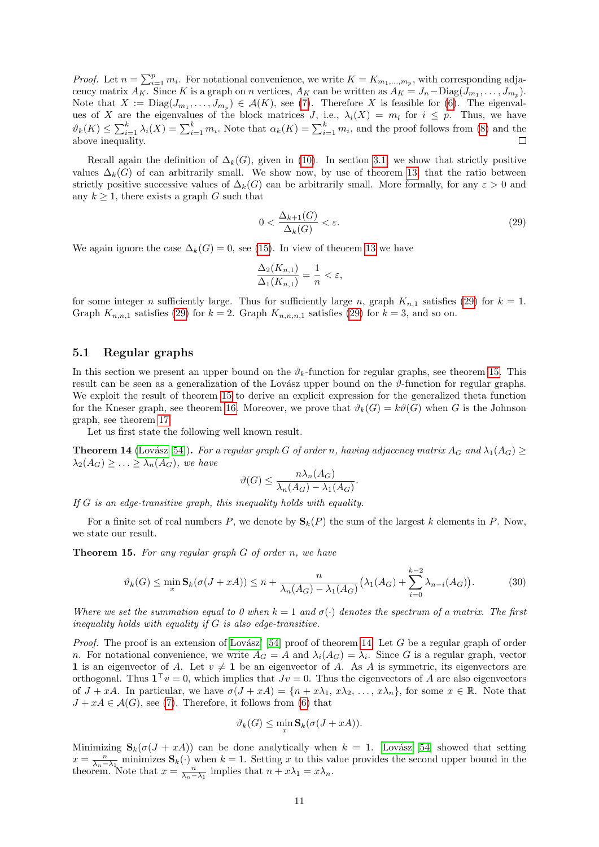*Proof.* Let  $n = \sum_{i=1}^{p} m_i$ . For notational convenience, we write  $K = K_{m_1,...,m_p}$ , with corresponding adjacency matrix  $A_K$ . Since K is a graph on n vertices,  $A_K$  can be written as  $A_K = J_n - \text{Diag}(J_{m_1}, \ldots, J_{m_p})$ . Note that  $X := \text{Diag}(J_{m_1}, \ldots, J_{m_p}) \in \mathcal{A}(K)$ , see [\(7\)](#page-3-8). Therefore X is feasible for [\(6\)](#page-3-7). The eigenvalues of X are the eigenvalues of the block matrices J, i.e.,  $\lambda_i(X) = m_i$  for  $i \leq p$ . Thus, we have  $\vartheta_k(K) \leq \sum_{i=1}^k \lambda_i(K) = \sum_{i=1}^k m_i$ . Note that  $\alpha_k(K) = \sum_{i=1}^k m_i$ , and the proof follows from [\(8\)](#page-3-4) and the above inequality.  $\Box$ 

Recall again the definition of  $\Delta_k(G)$ , given in [\(10\)](#page-5-4). In section [3.1,](#page-5-7) we show that strictly positive values  $\Delta_k(G)$  of can arbitrarily small. We show now, by use of theorem [13,](#page-9-1) that the ratio between strictly positive successive values of  $\Delta_k(G)$  can be arbitrarily small. More formally, for any  $\varepsilon > 0$  and any  $k \geq 1$ , there exists a graph G such that

<span id="page-10-1"></span>
$$
0 < \frac{\Delta_{k+1}(G)}{\Delta_k(G)} < \varepsilon. \tag{29}
$$

We again ignore the case  $\Delta_k(G) = 0$ , see [\(15\)](#page-5-9). In view of theorem [13](#page-9-1) we have

$$
\frac{\Delta_2(K_{n,1})}{\Delta_1(K_{n,1})} = \frac{1}{n} < \varepsilon,
$$

for some integer n sufficiently large. Thus for sufficiently large n, graph  $K_{n,1}$  satisfies [\(29\)](#page-10-1) for  $k = 1$ . Graph  $K_{n,n,1}$  satisfies [\(29\)](#page-10-1) for  $k = 2$ . Graph  $K_{n,n,n,1}$  satisfies (29) for  $k = 3$ , and so on.

#### <span id="page-10-0"></span>5.1 Regular graphs

In this section we present an upper bound on the  $\vartheta_k$ -function for regular graphs, see theorem [15.](#page-10-2) This result can be seen as a generalization of the Lovász upper bound on the  $\vartheta$ -function for regular graphs. We exploit the result of theorem [15](#page-10-2) to derive an explicit expression for the generalized theta function for the Kneser graph, see theorem [16.](#page-11-0) Moreover, we prove that  $\vartheta_k(G) = k\vartheta(G)$  when G is the Johnson graph, see theorem [17.](#page-12-1)

Let us first state the following well known result.

<span id="page-10-3"></span>**Theorem 14** (Lovász [54]). For a regular graph G of order n, having adjacency matrix  $A_G$  and  $\lambda_1(A_G) \geq$  $\lambda_2(A_G) \geq \ldots \geq \lambda_n(A_G)$ , we have

$$
\vartheta(G) \le \frac{n\lambda_n(A_G)}{\lambda_n(A_G) - \lambda_1(A_G)}.
$$

If G is an edge-transitive graph, this inequality holds with equality.

For a finite set of real numbers P, we denote by  $S_k(P)$  the sum of the largest k elements in P. Now, we state our result.

<span id="page-10-2"></span>**Theorem 15.** For any regular graph  $G$  of order  $n$ , we have

$$
\vartheta_k(G) \le \min_x \mathbf{S}_k(\sigma(J + xA)) \le n + \frac{n}{\lambda_n(A_G) - \lambda_1(A_G)} \big(\lambda_1(A_G) + \sum_{i=0}^{k-2} \lambda_{n-i}(A_G)\big). \tag{30}
$$

Where we set the summation equal to 0 when  $k = 1$  and  $\sigma(\cdot)$  denotes the spectrum of a matrix. The first inequality holds with equality if G is also edge-transitive.

*Proof.* The proof is an extension of Lovász' [54] proof of theorem [14.](#page-10-3) Let G be a regular graph of order n. For notational convenience, we write  $A_G = A$  and  $\lambda_i(A_G) = \lambda_i$ . Since G is a regular graph, vector 1 is an eigenvector of A. Let  $v \neq 1$  be an eigenvector of A. As A is symmetric, its eigenvectors are orthogonal. Thus  $\mathbf{1}^\top v = 0$ , which implies that  $Jv = 0$ . Thus the eigenvectors of A are also eigenvectors of  $J + xA$ . In particular, we have  $\sigma(J + xA) = \{n + x\lambda_1, x\lambda_2, \ldots, x\lambda_n\}$ , for some  $x \in \mathbb{R}$ . Note that  $J + xA \in \mathcal{A}(G)$ , see [\(7\)](#page-3-8). Therefore, it follows from [\(6\)](#page-3-7) that

$$
\vartheta_k(G) \le \min_x \mathbf{S}_k(\sigma(J + xA)).
$$

Minimizing  $S_k(\sigma(J + xA))$  can be done analytically when  $k = 1$ . Lovász [54] showed that setting  $x = \frac{n}{\lambda_n - \lambda_1}$  minimizes  $\mathbf{S}_k(\cdot)$  when  $k = 1$ . Setting x to this value provides the second upper bound in the theorem. Note that  $x = \frac{n}{\lambda_n - \lambda_1}$  implies that  $n + x\lambda_1 = x\lambda_n$ .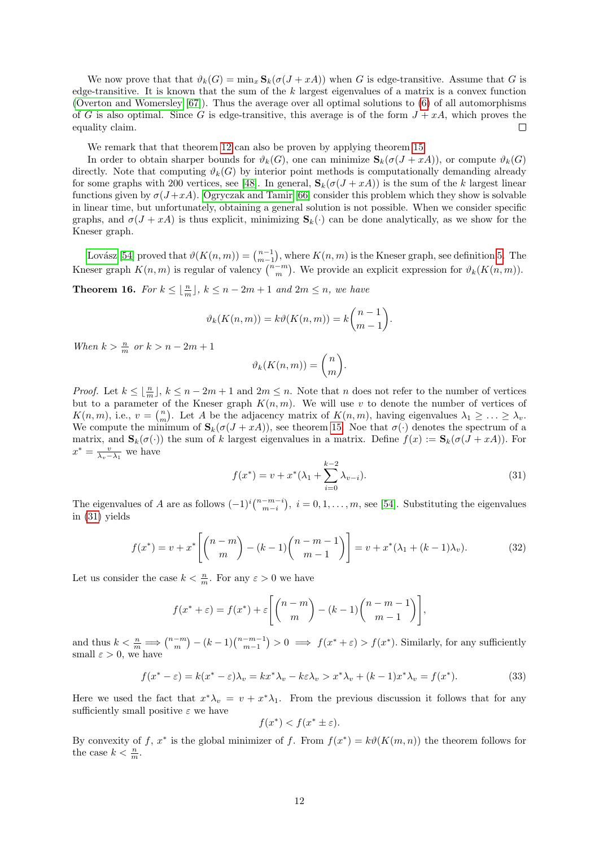We now prove that that  $\vartheta_k(G) = \min_x \mathbf{S}_k(\sigma(J + xA))$  when G is edge-transitive. Assume that G is edge-transitive. It is known that the sum of the  $k$  largest eigenvalues of a matrix is a convex function [\(Overton and Womersley \[67\]](#page-27-9)). Thus the average over all optimal solutions to [\(6\)](#page-3-7) of all automorphisms of G is also optimal. Since G is edge-transitive, this average is of the form  $J + xA$ , which proves the equality claim.  $\Box$ 

We remark that that theorem [12](#page-9-2) can also be proven by applying theorem [15.](#page-10-2)

In order to obtain sharper bounds for  $\vartheta_k(G)$ , one can minimize  $\mathbf{S}_k(\sigma(J+xA))$ , or compute  $\vartheta_k(G)$ directly. Note that computing  $\vartheta_k(G)$  by interior point methods is computationally demanding already for some graphs with 200 vertices, see [\[48\]](#page-26-14). In general,  $S_k(\sigma(J + xA))$  is the sum of the k largest linear functions given by  $\sigma(J+xA)$ . [Ogryczak and Tamir \[66\]](#page-27-10) consider this problem which they show is solvable in linear time, but unfortunately, obtaining a general solution is not possible. When we consider specific graphs, and  $\sigma(J + xA)$  is thus explicit, minimizing  $S_k(\cdot)$  can be done analytically, as we show for the Kneser graph.

Lovász [54] proved that  $\vartheta(K(n,m)) = \binom{n-1}{m-1}$ , where  $K(n, m)$  is the Kneser graph, see definition [5.](#page-2-3) The Kneser graph  $K(n, m)$  is regular of valency  $\binom{n-m}{m}$ . We provide an explicit expression for  $\vartheta_k(K(n, m))$ .

<span id="page-11-0"></span>**Theorem 16.** For  $k \leq \lfloor \frac{n}{m} \rfloor$ ,  $k \leq n - 2m + 1$  and  $2m \leq n$ , we have

$$
\vartheta_k(K(n,m)) = k\vartheta(K(n,m)) = k\binom{n-1}{m-1}.
$$

When  $k > \frac{n}{m}$  or  $k > n - 2m + 1$ 

$$
\vartheta_k(K(n,m)) = \binom{n}{m}.
$$

*Proof.* Let  $k \leq \lfloor \frac{n}{m} \rfloor$ ,  $k \leq n - 2m + 1$  and  $2m \leq n$ . Note that n does not refer to the number of vertices but to a parameter of the Kneser graph  $K(n, m)$ . We will use v to denote the number of vertices of  $K(n,m)$ , i.e.,  $v = {n \choose m}$ . Let A be the adjacency matrix of  $K(n,m)$ , having eigenvalues  $\lambda_1 \geq \ldots \geq \lambda_v$ . We compute the minimum of  $\mathbf{S}_k(\sigma(J+xA))$ , see theorem [15.](#page-10-2) Noe that  $\sigma(\cdot)$  denotes the spectrum of a matrix, and  $\mathbf{S}_k(\sigma(\cdot))$  the sum of k largest eigenvalues in a matrix. Define  $f(x) := \mathbf{S}_k(\sigma(J + xA))$ . For  $x^* = \frac{v}{\lambda_v - \lambda_1}$  we have

<span id="page-11-1"></span>
$$
f(x^*) = v + x^* (\lambda_1 + \sum_{i=0}^{k-2} \lambda_{v-i}).
$$
\n(31)

The eigenvalues of A are as follows  $(-1)^i {n-m-i \choose m-i}$ ,  $i = 0, 1, ..., m$ , see [\[54\]](#page-26-10). Substituting the eigenvalues in [\(31\)](#page-11-1) yields

<span id="page-11-2"></span>
$$
f(x^*) = v + x^* \left[ \binom{n-m}{m} - (k-1) \binom{n-m-1}{m-1} \right] = v + x^* (\lambda_1 + (k-1)\lambda_v).
$$
 (32)

Let us consider the case  $k < \frac{n}{m}$ . For any  $\varepsilon > 0$  we have

$$
f(x^* + \varepsilon) = f(x^*) + \varepsilon \left[ \binom{n-m}{m} - (k-1) \binom{n-m-1}{m-1} \right],
$$

and thus  $k < \frac{n}{m} \Longrightarrow \binom{n-m}{m} - (k-1)\binom{n-m-1}{m-1} > 0 \Longrightarrow f(x^* + \varepsilon) > f(x^*)$ . Similarly, for any sufficiently small  $\varepsilon > 0$ , we have

<span id="page-11-3"></span>
$$
f(x^* - \varepsilon) = k(x^* - \varepsilon)\lambda_v = kx^*\lambda_v - k\varepsilon\lambda_v > x^*\lambda_v + (k - 1)x^*\lambda_v = f(x^*).
$$
 (33)

Here we used the fact that  $x^*\lambda_v = v + x^*\lambda_1$ . From the previous discussion it follows that for any sufficiently small positive  $\varepsilon$  we have

$$
f(x^*) < f(x^* \pm \varepsilon).
$$

By convexity of f,  $x^*$  is the global minimizer of f. From  $f(x^*) = k\vartheta(K(m, n))$  the theorem follows for the case  $k < \frac{n}{m}$ .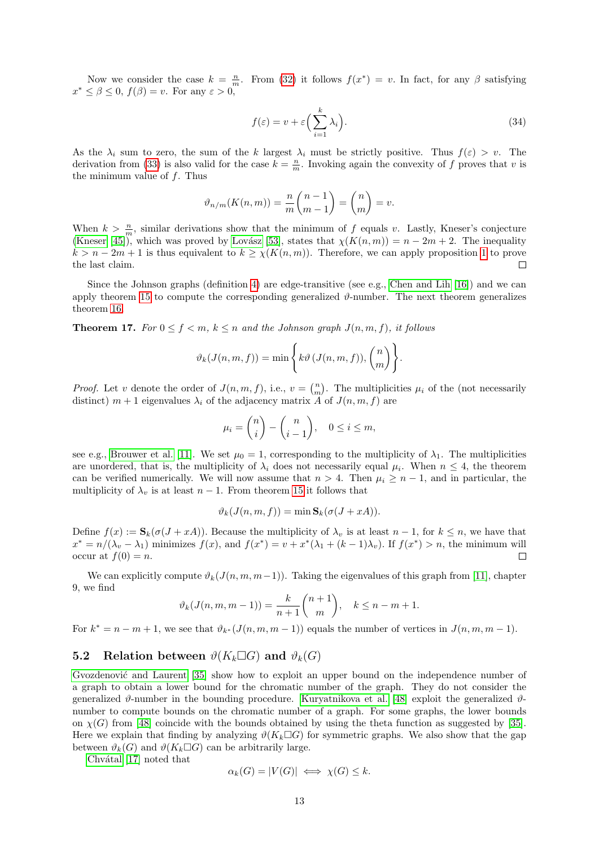Now we consider the case  $k = \frac{n}{m}$ . From [\(32\)](#page-11-2) it follows  $f(x^*) = v$ . In fact, for any  $\beta$  satisfying  $x^* \leq \beta \leq 0$ ,  $f(\beta) = v$ . For any  $\varepsilon > 0$ ,

$$
f(\varepsilon) = v + \varepsilon \left(\sum_{i=1}^{k} \lambda_i\right). \tag{34}
$$

As the  $\lambda_i$  sum to zero, the sum of the k largest  $\lambda_i$  must be strictly positive. Thus  $f(\varepsilon) > v$ . The derivation from [\(33\)](#page-11-3) is also valid for the case  $k = \frac{n}{m}$ . Invoking again the convexity of f proves that v is the minimum value of  $f$ . Thus

$$
\vartheta_{n/m}(K(n,m)) = \frac{n}{m} \binom{n-1}{m-1} = \binom{n}{m} = v.
$$

When  $k > \frac{n}{m}$ , similar derivations show that the minimum of f equals v. Lastly, Kneser's conjecture [\(Kneser \[45\]](#page-26-18)), which was proved by Lovász [53], states that  $\chi(K(n, m)) = n - 2m + 2$ . The inequality  $k > n - 2m + 1$  $k > n - 2m + 1$  is thus equivalent to  $k \geq \chi(K(n,m))$ . Therefore, we can apply proposition 1 to prove the last claim.  $\Box$ 

Since the Johnson graphs (definition [4\)](#page-2-4) are edge-transitive (see e.g., [Chen and Lih \[16\]](#page-24-12)) and we can apply theorem [15](#page-10-2) to compute the corresponding generalized  $\vartheta$ -number. The next theorem generalizes theorem [16.](#page-11-0)

<span id="page-12-1"></span>**Theorem 17.** For  $0 \le f < m$ ,  $k \le n$  and the Johnson graph  $J(n, m, f)$ , it follows

$$
\vartheta_k(J(n,m,f)) = \min\Bigg\{k\vartheta\,(J(n,m,f)),\binom{n}{m}\Bigg\}.
$$

*Proof.* Let v denote the order of  $J(n, m, f)$ , i.e.,  $v = {n \choose m}$ . The multiplicities  $\mu_i$  of the (not necessarily distinct)  $m + 1$  eigenvalues  $\lambda_i$  of the adjacency matrix A of  $J(n, m, f)$  are

$$
\mu_i = \binom{n}{i} - \binom{n}{i-1}, \quad 0 \le i \le m,
$$

see e.g., [Brouwer et al. \[11\]](#page-24-13). We set  $\mu_0 = 1$ , corresponding to the multiplicity of  $\lambda_1$ . The multiplicities are unordered, that is, the multiplicity of  $\lambda_i$  does not necessarily equal  $\mu_i$ . When  $n \leq 4$ , the theorem can be verified numerically. We will now assume that  $n > 4$ . Then  $\mu_i \geq n-1$ , and in particular, the multiplicity of  $\lambda_n$  is at least  $n-1$ . From theorem [15](#page-10-2) it follows that

$$
\vartheta_k(J(n,m,f)) = \min \mathbf{S}_k(\sigma(J+xA)).
$$

Define  $f(x) := \mathbf{S}_k(\sigma(J + xA))$ . Because the multiplicity of  $\lambda_v$  is at least  $n-1$ , for  $k \leq n$ , we have that  $x^* = n/(\lambda_v - \lambda_1)$  minimizes  $f(x)$ , and  $f(x^*) = v + x^*(\lambda_1 + (k-1)\lambda_v)$ . If  $f(x^*) > n$ , the minimum will occur at  $f(0) = n$ .  $\Box$ 

We can explicitly compute  $\vartheta_k(J(n, m, m-1))$ . Taking the eigenvalues of this graph from [\[11\]](#page-24-13), chapter 9, we find

$$
\vartheta_k(J(n,m,m-1)) = \frac{k}{n+1} \binom{n+1}{m}, \quad k \leq n-m+1.
$$

For  $k^* = n - m + 1$ , we see that  $\vartheta_{k^*}(J(n, m, m - 1))$  equals the number of vertices in  $J(n, m, m - 1)$ .

#### <span id="page-12-0"></span>5.2 Relation between  $\vartheta(K_k \Box G)$  and  $\vartheta_k(G)$

Gvozdenović and Laurent [35] show how to exploit an upper bound on the independence number of a graph to obtain a lower bound for the chromatic number of the graph. They do not consider the generalized  $\vartheta$ -number in the bounding procedure. [Kuryatnikova et al. \[48\]](#page-26-14) exploit the generalized  $\vartheta$ number to compute bounds on the chromatic number of a graph. For some graphs, the lower bounds on  $\chi(G)$  from [\[48\]](#page-26-14) coincide with the bounds obtained by using the theta function as suggested by [\[35\]](#page-25-5). Here we explain that finding by analyzing  $\vartheta(K_k \Box G)$  for symmetric graphs. We also show that the gap between  $\vartheta_k(G)$  and  $\vartheta(K_k \Box G)$  can be arbitrarily large.

Chvátal  $[17]$  noted that

$$
\alpha_k(G) = |V(G)| \iff \chi(G) \le k.
$$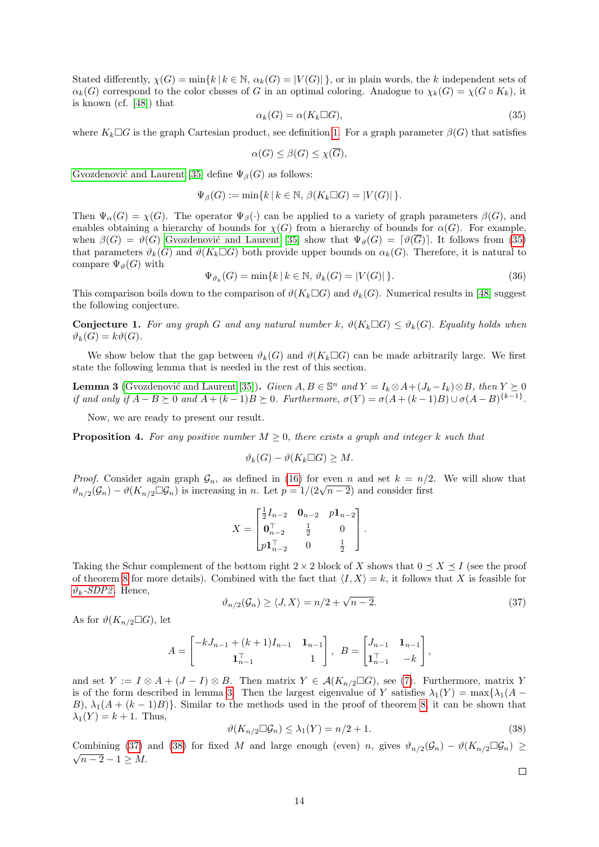Stated differently,  $\chi(G) = \min\{k | k \in \mathbb{N}, \alpha_k(G) = |V(G)|\}$ , or in plain words, the k independent sets of  $\alpha_k(G)$  correspond to the color classes of G in an optimal coloring. Analogue to  $\chi_k(G) = \chi(G \circ K_k)$ , it is known (cf. [\[48\]](#page-26-14)) that

<span id="page-13-0"></span>
$$
\alpha_k(G) = \alpha(K_k \Box G),\tag{35}
$$

where  $K_k \Box G$  is the graph Cartesian product, see definition [1.](#page-2-2) For a graph parameter  $\beta(G)$  that satisfies

$$
\alpha(G) \le \beta(G) \le \chi(\overline{G}),
$$

Gvozdenović and Laurent [35] define  $\Psi_{\beta}(G)$  as follows:

$$
\Psi_{\beta}(G) := \min\{k \,|\, k \in \mathbb{N}, \,\beta(K_k \square G) = |V(G)|\,\}.
$$

Then  $\Psi_{\alpha}(G) = \chi(G)$ . The operator  $\Psi_{\beta}(\cdot)$  can be applied to a variety of graph parameters  $\beta(G)$ , and enables obtaining a hierarchy of bounds for  $\chi(G)$  from a hierarchy of bounds for  $\alpha(G)$ . For example, when  $\beta(G) = \vartheta(G)$  Gvozdenović and Laurent [35] show that  $\Psi_{\vartheta}(G) = [\vartheta(\overline{G})]$ . It follows from [\(35\)](#page-13-0) that parameters  $\vartheta_k(G)$  and  $\vartheta(K_k \Box G)$  both provide upper bounds on  $\alpha_k(G)$ . Therefore, it is natural to compare  $\Psi_{\vartheta}(G)$  with

$$
\Psi_{\vartheta_k}(G) = \min\{k \mid k \in \mathbb{N}, \vartheta_k(G) = |V(G)|\}.
$$
\n(36)

This comparison boils down to the comparison of  $\vartheta(K_k \Box G)$  and  $\vartheta_k(G)$ . Numerical results in [\[48\]](#page-26-14) suggest the following conjecture.

<span id="page-13-4"></span>**Conjecture 1.** For any graph G and any natural number k,  $\vartheta(K_k \Box G) \leq \vartheta_k(G)$ . Equality holds when  $\vartheta_k(G) = k\vartheta(G).$ 

We show below that the gap between  $\vartheta_k(G)$  and  $\vartheta(K_k \Box G)$  can be made arbitrarily large. We first state the following lemma that is needed in the rest of this section.

<span id="page-13-1"></span>**Lemma 3** (Gvozdenović and Laurent [35]). Given  $A, B \in \mathbb{S}^n$  and  $Y = I_k \otimes A + (J_k - I_k) \otimes B$ , then  $Y \succeq 0$ if and only if  $A - B \succeq 0$  and  $A + (k-1)B \succeq 0$ . Furthermore,  $\sigma(Y) = \sigma(A + (k-1)B) \cup \sigma(A - B)^{\{k-1\}}$ .

Now, we are ready to present our result.

<span id="page-13-5"></span>**Proposition 4.** For any positive number  $M \geq 0$ , there exists a graph and integer k such that

$$
\vartheta_k(G) - \vartheta(K_k \Box G) \geq M.
$$

*Proof.* Consider again graph  $\mathcal{G}_n$ , as defined in [\(16\)](#page-5-10) for even n and set  $k = n/2$ . We will show that *Proof.* Consider again graph  $\mathcal{G}_n$ , as defined in (10) for even *n* and set  $\kappa = n/2$ <br> $\vartheta_{n/2}(\mathcal{G}_n) - \vartheta(K_{n/2} \square \mathcal{G}_n)$  is increasing in *n*. Let  $p = 1/(2\sqrt{n-2})$  and consider first

$$
X = \begin{bmatrix} \frac{1}{2}I_{n-2} & \mathbf{0}_{n-2} & p\mathbf{1}_{n-2} \\ \mathbf{0}_{n-2}^{\top} & \frac{1}{2} & 0 \\ p\mathbf{1}_{n-2}^{\top} & 0 & \frac{1}{2} \end{bmatrix}.
$$

Taking the Schur complement of the bottom right  $2 \times 2$  block of X shows that  $0 \preceq X \preceq I$  (see the proof of theorem [8](#page-5-1) for more details). Combined with the fact that  $\langle I, X \rangle = k$ , it follows that X is feasible for  $\vartheta_k$ [-SDP2](#page-4-3). Hence,

<span id="page-13-2"></span>
$$
\vartheta_{n/2}(\mathcal{G}_n) \ge \langle J, X \rangle = n/2 + \sqrt{n-2}.\tag{37}
$$

As for  $\vartheta(K_{n/2}\square G)$ , let

$$
A = \begin{bmatrix} -kJ_{n-1} + (k+1)I_{n-1} & \mathbf{1}_{n-1} \\ \mathbf{1}_{n-1}^{\top} & 1 \end{bmatrix}, \ B = \begin{bmatrix} J_{n-1} & \mathbf{1}_{n-1} \\ \mathbf{1}_{n-1}^{\top} & -k \end{bmatrix},
$$

and set  $Y := I \otimes A + (J - I) \otimes B$ . Then matrix  $Y \in \mathcal{A}(K_{n/2} \square G)$ , see [\(7\)](#page-3-8). Furthermore, matrix Y is of the form described in lemma [3.](#page-13-1) Then the largest eigenvalue of Y satisfies  $\lambda_1(Y) = \max{\lambda_1(A - X)}$ B),  $\lambda_1(A + (k-1)B)$ . Similar to the methods used in the proof of theorem [8,](#page-5-1) it can be shown that  $\lambda_1(Y) = k + 1$ . Thus,

<span id="page-13-3"></span>
$$
\vartheta(K_{n/2} \square \mathcal{G}_n) \le \lambda_1(Y) = n/2 + 1. \tag{38}
$$

Combining [\(37\)](#page-13-2) and [\(38\)](#page-13-3) for fixed M and large enough (even) n, gives  $\vartheta_{n/2}(\mathcal{G}_n) - \vartheta(K_{n/2} \Box \mathcal{G}_n) \geq$  $\sqrt{n-2} - 1 \ge M$ .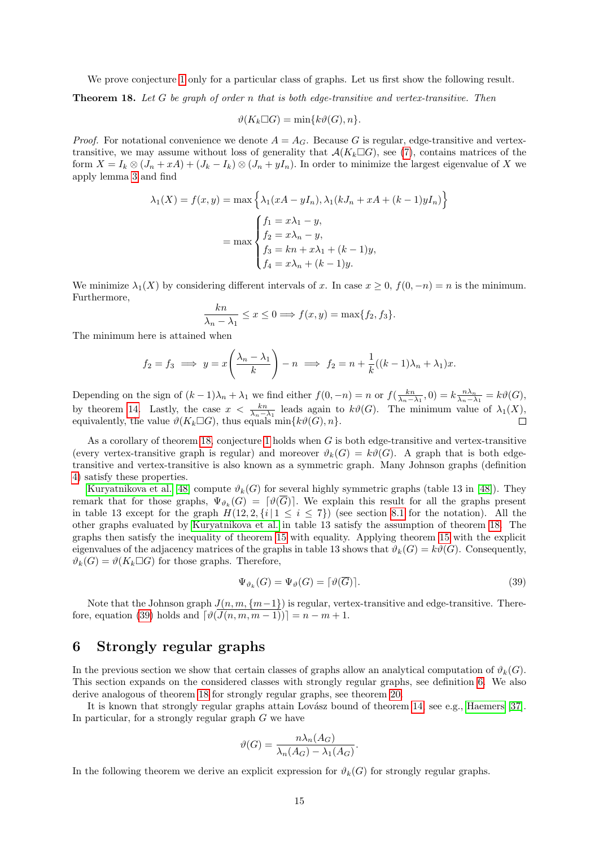We prove conjecture [1](#page-13-4) only for a particular class of graphs. Let us first show the following result.

<span id="page-14-1"></span>Theorem 18. Let G be graph of order n that is both edge-transitive and vertex-transitive. Then

$$
\vartheta(K_k \Box G) = \min\{k\vartheta(G), n\}.
$$

*Proof.* For notational convenience we denote  $A = A_G$ . Because G is regular, edge-transitive and vertextransitive, we may assume without loss of generality that  $\mathcal{A}(K_k \square G)$ , see [\(7\)](#page-3-8), contains matrices of the form  $X = I_k \otimes (J_n + xA) + (J_k - I_k) \otimes (J_n + yI_n)$ . In order to minimize the largest eigenvalue of X we apply lemma [3](#page-13-1) and find

$$
\lambda_1(X) = f(x, y) = \max \left\{ \lambda_1(xA - yI_n), \lambda_1(kJ_n + xA + (k-1)yI_n) \right\}
$$

$$
= \max \begin{cases} f_1 = x\lambda_1 - y, \\ f_2 = x\lambda_n - y, \\ f_3 = kn + x\lambda_1 + (k-1)y, \\ f_4 = x\lambda_n + (k-1)y. \end{cases}
$$

We minimize  $\lambda_1(X)$  by considering different intervals of x. In case  $x \geq 0$ ,  $f(0, -n) = n$  is the minimum. Furthermore,

$$
\frac{kn}{\lambda_n - \lambda_1} \le x \le 0 \Longrightarrow f(x, y) = \max\{f_2, f_3\}.
$$

The minimum here is attained when

$$
f_2 = f_3 \implies y = x \left( \frac{\lambda_n - \lambda_1}{k} \right) - n \implies f_2 = n + \frac{1}{k} ((k - 1)\lambda_n + \lambda_1)x.
$$

Depending on the sign of  $(k-1)\lambda_n + \lambda_1$  we find either  $f(0,-n) = n$  or  $f(\frac{kn}{\lambda_n - \lambda_1}, 0) = k \frac{n\lambda_n}{\lambda_n - \lambda_1} = k\vartheta(G)$ , by theorem [14.](#page-10-3) Lastly, the case  $x < \frac{kn}{\lambda_n - \lambda_1}$  leads again to  $k\vartheta(G)$ . The minimum value of  $\lambda_1(X)$ , equivalently, the value  $\vartheta(K_k \Box G)$ , thus equals  $\min\{k\vartheta(G), n\}.$ 

As a corollary of theorem [18,](#page-14-1) conjecture [1](#page-13-4) holds when G is both edge-transitive and vertex-transitive (every vertex-transitive graph is regular) and moreover  $\vartheta_k(G) = k\vartheta(G)$ . A graph that is both edgetransitive and vertex-transitive is also known as a symmetric graph. Many Johnson graphs (definition [4\)](#page-2-4) satisfy these properties.

[Kuryatnikova et al. \[48\]](#page-26-14) compute  $\vartheta_k(G)$  for several highly symmetric graphs (table 13 in [\[48\]](#page-26-14)). They remark that for those graphs,  $\Psi_{\vartheta_k}(G) = [\vartheta(\overline{G})]$ . We explain this result for all the graphs present in table 13 except for the graph  $H(12, 2, \{i \mid 1 \le i \le 7\})$  (see section [8.1](#page-21-0) for the notation). All the other graphs evaluated by [Kuryatnikova et al.](#page-26-14) in table 13 satisfy the assumption of theorem [18.](#page-14-1) The graphs then satisfy the inequality of theorem [15](#page-10-2) with equality. Applying theorem [15](#page-10-2) with the explicit eigenvalues of the adjacency matrices of the graphs in table 13 shows that  $\vartheta_k(G) = k\vartheta(G)$ . Consequently,  $\vartheta_k(G) = \vartheta(K_k \Box G)$  for those graphs. Therefore,

<span id="page-14-2"></span>
$$
\Psi_{\vartheta_k}(G) = \Psi_{\vartheta}(G) = \lceil \vartheta(\overline{G}) \rceil. \tag{39}
$$

Note that the Johnson graph  $J(n, m, \{m-1\})$  is regular, vertex-transitive and edge-transitive. There-fore, equation [\(39\)](#page-14-2) holds and  $\lceil \vartheta(\overline{J(n, m, m-1)}) \rceil = n - m + 1$ .

## <span id="page-14-0"></span>6 Strongly regular graphs

In the previous section we show that certain classes of graphs allow an analytical computation of  $\vartheta_k(G)$ . This section expands on the considered classes with strongly regular graphs, see definition [6.](#page-2-5) We also derive analogous of theorem [18](#page-14-1) for strongly regular graphs, see theorem [20.](#page-17-0)

It is known that strongly regular graphs attain Lovász bound of theorem [14,](#page-10-3) see e.g., [Haemers \[37\]](#page-25-10). In particular, for a strongly regular graph  $G$  we have

$$
\vartheta(G) = \frac{n\lambda_n(A_G)}{\lambda_n(A_G) - \lambda_1(A_G)}.
$$

<span id="page-14-3"></span>In the following theorem we derive an explicit expression for  $\vartheta_k(G)$  for strongly regular graphs.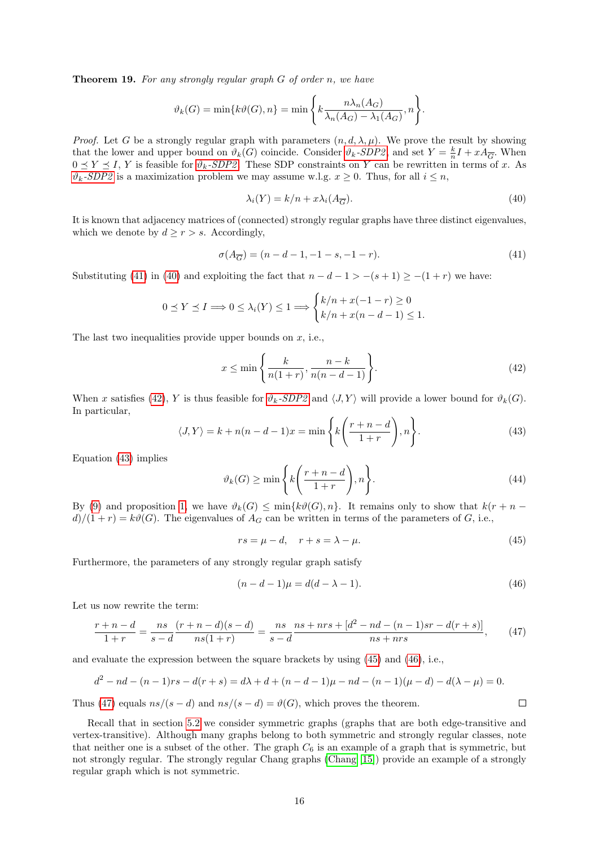**Theorem 19.** For any strongly regular graph  $G$  of order n, we have

$$
\vartheta_k(G) = \min\{k\vartheta(G), n\} = \min\left\{k\frac{n\lambda_n(A_G)}{\lambda_n(A_G) - \lambda_1(A_G)}, n\right\}.
$$

*Proof.* Let G be a strongly regular graph with parameters  $(n, d, \lambda, \mu)$ . We prove the result by showing that the lower and upper bound on  $\vartheta_k(G)$  coincide. Consider  $\vartheta_k$ [-SDP2](#page-4-3), and set  $Y = \frac{k}{n}I + xA_{\overline{G}}$ . When  $0 \le Y \le I$ , Y is feasible for  $\vartheta_k$ [-SDP2](#page-4-3). These SDP constraints on Y can be rewritten in terms of x. As  $\vartheta_k$ [-SDP2](#page-4-3) is a maximization problem we may assume w.l.g.  $x \geq 0$ . Thus, for all  $i \leq n$ ,

<span id="page-15-1"></span>
$$
\lambda_i(Y) = k/n + x\lambda_i(A_{\overline{G}}). \tag{40}
$$

It is known that adjacency matrices of (connected) strongly regular graphs have three distinct eigenvalues, which we denote by  $d \geq r > s$ . Accordingly,

<span id="page-15-0"></span>
$$
\sigma(A_{\overline{G}}) = (n - d - 1, -1 - s, -1 - r).
$$
\n(41)

Substituting [\(41\)](#page-15-0) in [\(40\)](#page-15-1) and exploiting the fact that  $n - d - 1 > -(s + 1) \ge -(1 + r)$  we have:

$$
0 \le Y \le I \Longrightarrow 0 \le \lambda_i(Y) \le 1 \Longrightarrow \begin{cases} k/n + x(-1 - r) \ge 0 \\ k/n + x(n - d - 1) \le 1. \end{cases}
$$

The last two inequalities provide upper bounds on  $x$ , i.e.,

<span id="page-15-2"></span>
$$
x \le \min\left\{\frac{k}{n(1+r)}, \frac{n-k}{n(n-d-1)}\right\}.
$$
\n(42)

When x satisfies [\(42\)](#page-15-2), Y is thus feasible for  $\vartheta_k$ [-SDP2](#page-4-3) and  $\langle J, Y \rangle$  will provide a lower bound for  $\vartheta_k(G)$ . In particular,

<span id="page-15-3"></span>
$$
\langle J, Y \rangle = k + n(n - d - 1)x = \min\left\{k\left(\frac{r+n-d}{1+r}\right), n\right\}.
$$
\n(43)

Equation [\(43\)](#page-15-3) implies

$$
\vartheta_k(G) \ge \min\left\{k\left(\frac{r+n-d}{1+r}\right), n\right\}.\tag{44}
$$

By [\(9\)](#page-3-6) and proposition [1,](#page-4-1) we have  $\vartheta_k(G) \le \min\{k\vartheta(G), n\}$ . It remains only to show that  $k(r + n - 1)$  $d/(1+r) = k\vartheta(G)$ . The eigenvalues of  $A_G$  can be written in terms of the parameters of G, i.e.,

<span id="page-15-4"></span>
$$
rs = \mu - d, \quad r + s = \lambda - \mu. \tag{45}
$$

Furthermore, the parameters of any strongly regular graph satisfy

<span id="page-15-5"></span>
$$
(n - d - 1)\mu = d(d - \lambda - 1).
$$
\n(46)

<span id="page-15-6"></span> $\Box$ 

Let us now rewrite the term:

$$
\frac{r+n-d}{1+r} = \frac{ns}{s-d} \frac{(r+n-d)(s-d)}{ns(1+r)} = \frac{ns}{s-d} \frac{ns+ns+[d^2-nd-(n-1)sr-d(r+s)]}{ns+ns},\tag{47}
$$

and evaluate the expression between the square brackets by using [\(45\)](#page-15-4) and [\(46\)](#page-15-5), i.e.,

$$
d^{2} - nd - (n - 1)rs - d(r + s) = d\lambda + d + (n - d - 1)\mu - nd - (n - 1)(\mu - d) - d(\lambda - \mu) = 0.
$$

Thus [\(47\)](#page-15-6) equals  $ns/(s-d)$  and  $ns/(s-d) = \vartheta(G)$ , which proves the theorem.

Recall that in section [5.2](#page-12-0) we consider symmetric graphs (graphs that are both edge-transitive and vertex-transitive). Although many graphs belong to both symmetric and strongly regular classes, note that neither one is a subset of the other. The graph  $C_6$  is an example of a graph that is symmetric, but not strongly regular. The strongly regular Chang graphs [\(Chang \[15\]](#page-24-15)) provide an example of a strongly regular graph which is not symmetric.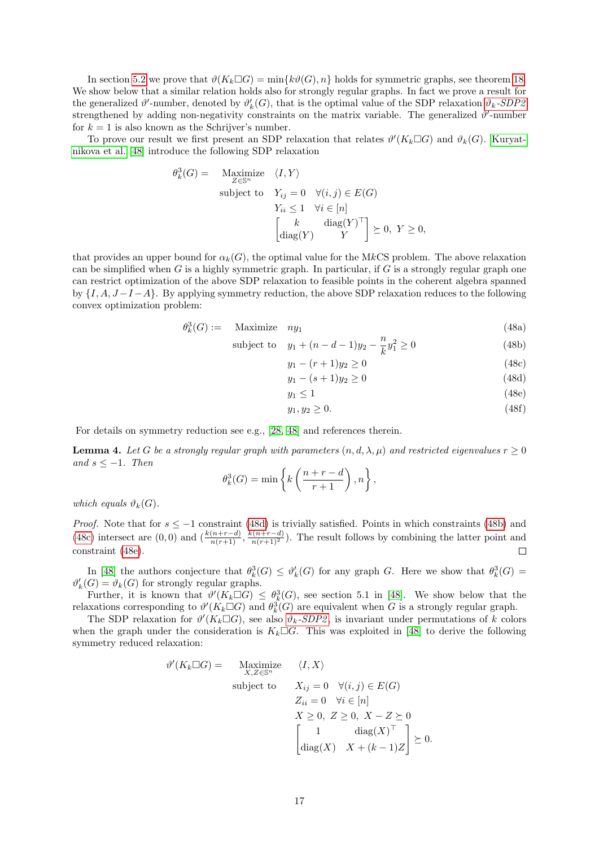In section [5.2](#page-12-0) we prove that  $\vartheta(K_k \Box G) = \min\{k\vartheta(G), n\}$  holds for symmetric graphs, see theorem [18.](#page-14-1) We show below that a similar relation holds also for strongly regular graphs. In fact we prove a result for the generalized  $\vartheta'$ -number, denoted by  $\vartheta'_k(G)$ , that is the optimal value of the SDP relaxation  $\vartheta_k$ [-SDP2](#page-4-3) strengthened by adding non-negativity constraints on the matrix variable. The generalized  $\vartheta'$ -number for  $k = 1$  is also known as the Schrijver's number.

To prove our result we first present an SDP relaxation that relates  $\vartheta'(K_k \Box G)$  and  $\vartheta_k(G)$ . [Kuryat](#page-26-14)[nikova et al. \[48\]](#page-26-14) introduce the following SDP relaxation

$$
\theta_k^3(G) = \begin{array}{ll}\n\text{Maximize} & \langle I, Y \rangle \\
\text{subject to} & Y_{ij} = 0 \quad \forall (i, j) \in E(G) \\
& Y_{ii} \le 1 \quad \forall i \in [n] \\
& \begin{bmatrix}\n\frac{k}{\text{diag}(Y)} & \text{diag}(Y)^\top \\
Y & Y\n\end{bmatrix} \ge 0, \ Y \ge 0,\n\end{array}
$$

that provides an upper bound for  $\alpha_k(G)$ , the optimal value for the MkCS problem. The above relaxation can be simplified when  $G$  is a highly symmetric graph. In particular, if  $G$  is a strongly regular graph one can restrict optimization of the above SDP relaxation to feasible points in the coherent algebra spanned by  $\{I, A, J-I-A\}$ . By applying symmetry reduction, the above SDP relaxation reduces to the following convex optimization problem:

<span id="page-16-0"></span>
$$
\theta_k^3(G) := \quad \text{Maximize} \quad ny_1 \tag{48a}
$$

subject to 
$$
y_1 + (n - d - 1)y_2 - \frac{n}{k}y_1^2 \ge 0
$$
 (48b)

$$
y_1 - (r+1)y_2 \ge 0 \tag{48c}
$$

$$
y_1 - (s+1)y_2 \ge 0 \tag{48d}
$$

$$
y_1 \le 1\tag{48e}
$$

$$
y_1, y_2 \ge 0. \tag{48f}
$$

For details on symmetry reduction see e.g., [\[28,](#page-25-8) [48\]](#page-26-14) and references therein.

<span id="page-16-1"></span>**Lemma 4.** Let G be a strongly regular graph with parameters  $(n, d, \lambda, \mu)$  and restricted eigenvalues  $r \geq 0$ and  $s \leq -1$ . Then

$$
\theta_k^3(G) = \min\left\{k\left(\frac{n+r-d}{r+1}\right), n\right\},\,
$$

which equals  $\vartheta_k(G)$ .

*Proof.* Note that for  $s \le -1$  constraint [\(48d\)](#page-16-0) is trivially satisfied. Points in which constraints [\(48b\)](#page-16-0) and [\(48c\)](#page-16-0) intersect are  $(0,0)$  and  $\left(\frac{k(n+r-d)}{n(r+1)}, \frac{k(n+r-d)}{n(r+1)^2}\right)$ . The result follows by combining the latter point and constraint [\(48e\)](#page-16-0).  $\Box$ 

In [\[48\]](#page-26-14) the authors conjecture that  $\theta_k^3(G) \leq \theta'_k(G)$  for any graph G. Here we show that  $\theta_k^3(G)$  $\vartheta_k'(G) = \vartheta_k(G)$  for strongly regular graphs.

Further, it is known that  $\theta'(K_k \Box G) \leq \theta_k^3(G)$ , see section 5.1 in [\[48\]](#page-26-14). We show below that the relaxations corresponding to  $\theta'(K_k \Box G)$  and  $\theta_k^3(G)$  are equivalent when G is a strongly regular graph.

The SDP relaxation for  $\vartheta'(K_k \Box G)$ , see also  $\vartheta_k$ -SDP<sub>2</sub>, is invariant under permutations of k colors when the graph under the consideration is  $K_k \Box G$ . This was exploited in [\[48\]](#page-26-14) to derive the following symmetry reduced relaxation:

$$
\vartheta'(K_k \square G) = \begin{cases} \text{Maximize} & \langle I, X \rangle \\ \text{subject to} & X_{ij} = 0 \quad \forall (i, j) \in E(G) \\ & Z_{ii} = 0 \quad \forall i \in [n] \\ & X \ge 0, \ Z \ge 0, \ X - Z \succeq 0 \\ & \begin{bmatrix} 1 & \text{diag}(X) \\ \text{diag}(X) & X + (k-1)Z \end{bmatrix} \succeq 0. \end{cases}
$$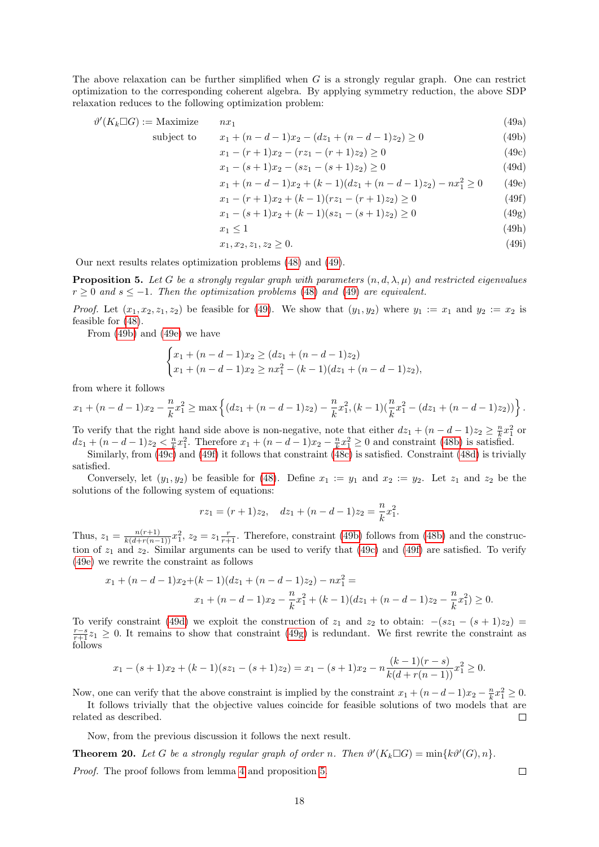The above relaxation can be further simplified when  $G$  is a strongly regular graph. One can restrict optimization to the corresponding coherent algebra. By applying symmetry reduction, the above SDP relaxation reduces to the following optimization problem:

$$
\vartheta'(K_k \Box G) := \text{Maximize} \n\text{subject to} \n\text{subject to} \n\alpha_1 + (n - d - 1)x_2 - (dz_1 + (n - d - 1)z_2) \ge 0
$$
\n(49a)

$$
x_1 - (r+1)x_2 - (rz_1 - (r+1)z_2) \ge 0
$$
\n(49c)

<span id="page-17-2"></span>
$$
x_1 = (s+1)x_2 - (sx_1 - (s+1)z_2) \ge 0
$$
\n
$$
(160)
$$
\n
$$
x_1 - (s+1)x_2 - (sx_1 - (s+1)z_2) \ge 0
$$
\n
$$
(49d)
$$

<span id="page-17-6"></span><span id="page-17-4"></span><span id="page-17-3"></span>
$$
x_1 + (n - d - 1)x_2 + (k - 1)(dz_1 + (n - d - 1)z_2) - nx_1^2 \ge 0
$$
 (49e)

$$
x_1 - (r+1)x_2 + (k-1)(rz_1 - (r+1)z_2) \ge 0 \tag{49f}
$$

<span id="page-17-7"></span><span id="page-17-5"></span><span id="page-17-1"></span>
$$
x_1 - (s+1)x_2 + (k-1)(sz_1 - (s+1)z_2) \ge 0
$$
\n(49g)

$$
x_1 \le 1 \tag{49h}
$$

$$
x_1, x_2, z_1, z_2 \ge 0. \tag{49i}
$$

Our next results relates optimization problems [\(48\)](#page-16-0) and [\(49\)](#page-17-1).

<span id="page-17-8"></span>**Proposition 5.** Let G be a strongly regular graph with parameters  $(n, d, \lambda, \mu)$  and restricted eigenvalues  $r > 0$  and  $s < -1$ . Then the optimization problems [\(48\)](#page-16-0) and [\(49\)](#page-17-1) are equivalent.

*Proof.* Let  $(x_1, x_2, z_1, z_2)$  be feasible for [\(49\)](#page-17-1). We show that  $(y_1, y_2)$  where  $y_1 := x_1$  and  $y_2 := x_2$  is feasible for [\(48\)](#page-16-0).

From [\(49b\)](#page-17-2) and [\(49e\)](#page-17-3) we have

$$
\begin{cases} x_1 + (n-d-1)x_2 \ge (dz_1 + (n-d-1)z_2) \\ x_1 + (n-d-1)x_2 \ge nx_1^2 - (k-1)(dz_1 + (n-d-1)z_2), \end{cases}
$$

from where it follows

$$
x_1 + (n-d-1)x_2 - \frac{n}{k}x_1^2 \ge \max\left\{ (dz_1 + (n-d-1)z_2) - \frac{n}{k}x_1^2, (k-1)(\frac{n}{k}x_1^2 - (dz_1 + (n-d-1)z_2)) \right\}.
$$

To verify that the right hand side above is non-negative, note that either  $dz_1 + (n - d - 1)z_2 \geq \frac{n}{k}x_1^2$  or  $dz_1 + (n-d-1)z_2 < \frac{n}{k}x_1^2$ . Therefore  $x_1 + (n-d-1)x_2 - \frac{n}{k}x_1^2 \ge 0$  and constraint [\(48b\)](#page-16-0) is satisfied.

Similarly, from [\(49c\)](#page-17-4) and [\(49f\)](#page-17-5) it follows that constraint [\(48c\)](#page-16-0) is satisfied. Constraint [\(48d\)](#page-16-0) is trivially satisfied.

Conversely, let  $(y_1, y_2)$  be feasible for [\(48\)](#page-16-0). Define  $x_1 := y_1$  and  $x_2 := y_2$ . Let  $z_1$  and  $z_2$  be the solutions of the following system of equations:

$$
rz_1 = (r+1)z_2, \quad dz_1 + (n-d-1)z_2 = \frac{n}{k}x_1^2.
$$

Thus,  $z_1 = \frac{n(r+1)}{k(d+r(n-1))}x_1^2$ ,  $z_2 = z_1 \frac{r}{r+1}$ . Therefore, constraint [\(49b\)](#page-17-2) follows from [\(48b\)](#page-16-0) and the construction of  $z_1$  and  $z_2$ . Similar arguments can be used to verify that [\(49c\)](#page-17-4) and [\(49f\)](#page-17-5) are satisfied. To verify [\(49e\)](#page-17-3) we rewrite the constraint as follows

$$
x_1 + (n - d - 1)x_2 + (k - 1)(dz_1 + (n - d - 1)z_2) - nx_1^2 =
$$
  

$$
x_1 + (n - d - 1)x_2 - \frac{n}{k}x_1^2 + (k - 1)(dz_1 + (n - d - 1)z_2 - \frac{n}{k}x_1^2) \ge 0.
$$

To verify constraint [\(49d\)](#page-17-6) we exploit the construction of  $z_1$  and  $z_2$  to obtain:  $-(s_1 - (s + 1)z_2)$  =  $\frac{r-s}{r+1}z_1 \geq 0$ . It remains to show that constraint [\(49g\)](#page-17-7) is redundant. We first rewrite the constraint as follows

$$
x_1 - (s+1)x_2 + (k-1)(sz_1 - (s+1)z_2) = x_1 - (s+1)x_2 - n\frac{(k-1)(r-s)}{k(d+r(n-1))}x_1^2 \ge 0.
$$

Now, one can verify that the above constraint is implied by the constraint  $x_1 + (n - d - 1)x_2 - \frac{n}{k}x_1^2 \ge 0$ .

It follows trivially that the objective values coincide for feasible solutions of two models that are related as described.  $\Box$ 

Now, from the previous discussion it follows the next result.

<span id="page-17-0"></span>**Theorem 20.** Let G be a strongly regular graph of order n. Then  $\vartheta'(K_k \Box G) = \min\{k\vartheta'(G), n\}.$ Proof. The proof follows from lemma [4](#page-16-1) and proposition [5.](#page-17-8)

 $\Box$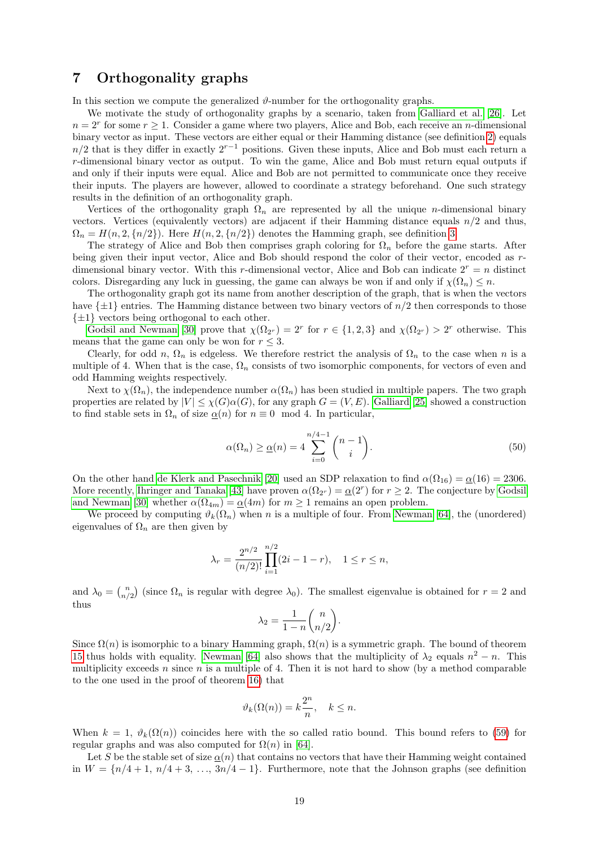## <span id="page-18-0"></span>7 Orthogonality graphs

In this section we compute the generalized  $\vartheta$ -number for the orthogonality graphs.

We motivate the study of orthogonality graphs by a scenario, taken from [Galliard et al. \[26\]](#page-25-11). Let  $n = 2<sup>r</sup>$  for some  $r \ge 1$ . Consider a game where two players, Alice and Bob, each receive an *n*-dimensional binary vector as input. These vectors are either equal or their Hamming distance (see definition [2\)](#page-2-6) equals  $n/2$  that is they differ in exactly  $2^{r-1}$  positions. Given these inputs, Alice and Bob must each return a r-dimensional binary vector as output. To win the game, Alice and Bob must return equal outputs if and only if their inputs were equal. Alice and Bob are not permitted to communicate once they receive their inputs. The players are however, allowed to coordinate a strategy beforehand. One such strategy results in the definition of an orthogonality graph.

Vertices of the orthogonality graph  $\Omega_n$  are represented by all the unique *n*-dimensional binary vectors. Vertices (equivalently vectors) are adjacent if their Hamming distance equals  $n/2$  and thus,  $\Omega_n = H(n, 2, \{n/2\})$ . Here  $H(n, 2, \{n/2\})$  denotes the Hamming graph, see definition [3.](#page-2-7)

The strategy of Alice and Bob then comprises graph coloring for  $\Omega_n$  before the game starts. After being given their input vector, Alice and Bob should respond the color of their vector, encoded as rdimensional binary vector. With this r-dimensional vector, Alice and Bob can indicate  $2^r = n$  distinct colors. Disregarding any luck in guessing, the game can always be won if and only if  $\chi(\Omega_n) \leq n$ .

The orthogonality graph got its name from another description of the graph, that is when the vectors have  $\{\pm 1\}$  entries. The Hamming distance between two binary vectors of  $n/2$  then corresponds to those  $\{\pm 1\}$  vectors being orthogonal to each other.

[Godsil and Newman \[30\]](#page-25-12) prove that  $\chi(\Omega_{2r}) = 2^r$  for  $r \in \{1, 2, 3\}$  and  $\chi(\Omega_{2r}) > 2^r$  otherwise. This means that the game can only be won for  $r \leq 3$ .

Clearly, for odd n,  $\Omega_n$  is edgeless. We therefore restrict the analysis of  $\Omega_n$  to the case when n is a multiple of 4. When that is the case,  $\Omega_n$  consists of two isomorphic components, for vectors of even and odd Hamming weights respectively.

Next to  $\chi(\Omega_n)$ , the independence number  $\alpha(\Omega_n)$  has been studied in multiple papers. The two graph properties are related by  $|V| \leq \chi(G)\alpha(G)$ , for any graph  $G = (V, E)$ . [Galliard \[25\]](#page-25-13) showed a construction to find stable sets in  $\Omega_n$  of size  $\alpha(n)$  for  $n \equiv 0 \mod 4$ . In particular,

$$
\alpha(\Omega_n) \ge \underline{\alpha}(n) = 4 \sum_{i=0}^{n/4-1} {n-1 \choose i}.
$$
\n(50)

On the other hand [de Klerk and Pasechnik \[20\]](#page-24-16) used an SDP relaxation to find  $\alpha(\Omega_{16}) = \alpha(16) = 2306$ . More recently, [Ihringer and Tanaka \[43\]](#page-25-14) have proven  $\alpha(\Omega_{2r}) = \alpha(2^r)$  for  $r \geq 2$ . The conjecture by [Godsil](#page-25-12) [and Newman \[30\]](#page-25-12) whether  $\alpha(\Omega_{4m}) = \underline{\alpha}(4m)$  for  $m \ge 1$  remains an open problem.

We proceed by computing  $\vartheta_k(\Omega_n)$  when n is a multiple of four. From [Newman \[64\]](#page-26-20), the (unordered) eigenvalues of  $\Omega_n$  are then given by

$$
\lambda_r = \frac{2^{n/2}}{(n/2)!} \prod_{i=1}^{n/2} (2i - 1 - r), \quad 1 \le r \le n,
$$

and  $\lambda_0 = \binom{n}{n/2}$  (since  $\Omega_n$  is regular with degree  $\lambda_0$ ). The smallest eigenvalue is obtained for  $r = 2$  and thus

$$
\lambda_2 = \frac{1}{1-n} \binom{n}{n/2}.
$$

Since  $\Omega(n)$  is isomorphic to a binary Hamming graph,  $\Omega(n)$  is a symmetric graph. The bound of theorem [15](#page-10-2) thus holds with equality. [Newman \[64\]](#page-26-20) also shows that the multiplicity of  $\lambda_2$  equals  $n^2 - n$ . This multiplicity exceeds n since n is a multiple of 4. Then it is not hard to show (by a method comparable to the one used in the proof of theorem [16\)](#page-11-0) that

$$
\vartheta_k(\Omega(n)) = k \frac{2^n}{n}, \quad k \le n.
$$

When  $k = 1$ ,  $\vartheta_k(\Omega(n))$  coincides here with the so called ratio bound. This bound refers to [\(59\)](#page-20-0) for regular graphs and was also computed for  $\Omega(n)$  in [\[64\]](#page-26-20).

Let S be the stable set of size  $\alpha(n)$  that contains no vectors that have their Hamming weight contained in  $W = \{n/4 + 1, n/4 + 3, \ldots, 3n/4 - 1\}$ . Furthermore, note that the Johnson graphs (see definition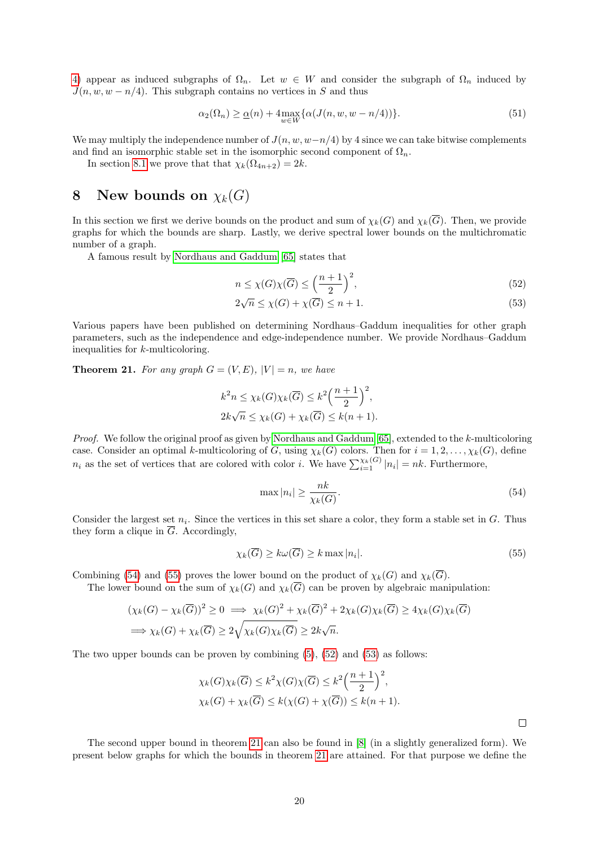[4\)](#page-2-4) appear as induced subgraphs of  $\Omega_n$ . Let  $w \in W$  and consider the subgraph of  $\Omega_n$  induced by  $J(n, w, w - n/4)$ . This subgraph contains no vertices in S and thus

$$
\alpha_2(\Omega_n) \ge \underline{\alpha}(n) + 4 \max_{w \in W} \{ \alpha(J(n, w, w - n/4)) \}.
$$
\n(51)

We may multiply the independence number of  $J(n, w, w-n/4)$  by 4 since we can take bitwise complements and find an isomorphic stable set in the isomorphic second component of  $\Omega_n$ .

In section [8.1](#page-21-0) we prove that that  $\chi_k(\Omega_{4n+2}) = 2k$ .

## <span id="page-19-0"></span>8 New bounds on  $\chi_k(G)$

In this section we first we derive bounds on the product and sum of  $\chi_k(G)$  and  $\chi_k(\overline{G})$ . Then, we provide graphs for which the bounds are sharp. Lastly, we derive spectral lower bounds on the multichromatic number of a graph.

A famous result by [Nordhaus and Gaddum \[65\]](#page-27-6) states that

<span id="page-19-4"></span><span id="page-19-3"></span>
$$
n \le \chi(G)\chi(\overline{G}) \le \left(\frac{n+1}{2}\right)^2,\tag{52}
$$

$$
2\sqrt{n} \le \chi(G) + \chi(\overline{G}) \le n + 1. \tag{53}
$$

Various papers have been published on determining Nordhaus–Gaddum inequalities for other graph parameters, such as the independence and edge-independence number. We provide Nordhaus–Gaddum inequalities for k-multicoloring.

<span id="page-19-5"></span>**Theorem 21.** For any graph  $G = (V, E)$ ,  $|V| = n$ , we have

$$
k^{2}n \leq \chi_{k}(G)\chi_{k}(\overline{G}) \leq k^{2}\left(\frac{n+1}{2}\right)^{2},
$$
  

$$
2k\sqrt{n} \leq \chi_{k}(G) + \chi_{k}(\overline{G}) \leq k(n+1).
$$

Proof. We follow the original proof as given by [Nordhaus and Gaddum \[65\]](#page-27-6), extended to the k-multicoloring case. Consider an optimal k-multicoloring of G, using  $\chi_k(G)$  colors. Then for  $i = 1, 2, ..., \chi_k(G)$ , define  $n_i$  as the set of vertices that are colored with color i. We have  $\sum_{i=1}^{\chi_k(G)} |n_i| = nk$ . Furthermore,

<span id="page-19-1"></span>
$$
\max |n_i| \ge \frac{nk}{\chi_k(G)}.\tag{54}
$$

Consider the largest set  $n_i$ . Since the vertices in this set share a color, they form a stable set in  $G$ . Thus they form a clique in  $\overline{G}$ . Accordingly,

<span id="page-19-2"></span>
$$
\chi_k(\overline{G}) \ge k\omega(\overline{G}) \ge k \max |n_i|.
$$
\n(55)

Combining [\(54\)](#page-19-1) and [\(55\)](#page-19-2) proves the lower bound on the product of  $\chi_k(G)$  and  $\chi_k(\overline{G})$ .

The lower bound on the sum of  $\chi_k(G)$  and  $\chi_k(\overline{G})$  can be proven by algebraic manipulation:

$$
(\chi_k(G) - \chi_k(\overline{G}))^2 \ge 0 \implies \chi_k(G)^2 + \chi_k(\overline{G})^2 + 2\chi_k(G)\chi_k(\overline{G}) \ge 4\chi_k(G)\chi_k(\overline{G})
$$
  

$$
\implies \chi_k(G) + \chi_k(\overline{G}) \ge 2\sqrt{\chi_k(G)\chi_k(\overline{G})} \ge 2k\sqrt{n}.
$$

The two upper bounds can be proven by combining  $(5)$ ,  $(52)$  and  $(53)$  as follows:

$$
\chi_k(G)\chi_k(\overline{G}) \le k^2 \chi(G)\chi(\overline{G}) \le k^2 \left(\frac{n+1}{2}\right)^2,
$$
  

$$
\chi_k(G) + \chi_k(\overline{G}) \le k(\chi(G) + \chi(\overline{G})) \le k(n+1).
$$

The second upper bound in theorem [21](#page-19-5) can also be found in [\[8\]](#page-24-17) (in a slightly generalized form). We present below graphs for which the bounds in theorem [21](#page-19-5) are attained. For that purpose we define the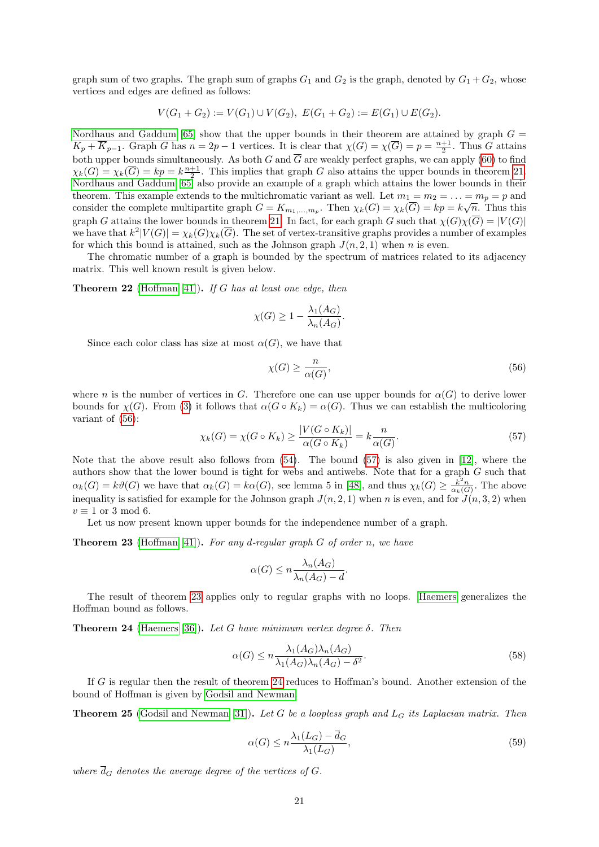graph sum of two graphs. The graph sum of graphs  $G_1$  and  $G_2$  is the graph, denoted by  $G_1 + G_2$ , whose vertices and edges are defined as follows:

$$
V(G_1 + G_2) := V(G_1) \cup V(G_2), \ E(G_1 + G_2) := E(G_1) \cup E(G_2).
$$

[Nordhaus and Gaddum \[65\]](#page-27-6) show that the upper bounds in their theorem are attained by graph  $G =$  $K_p + \overline{K}_{p-1}$ . Graph G has  $n = 2p - 1$  vertices. It is clear that  $\chi(G) = \chi(\overline{G}) = p = \frac{n+1}{2}$ . Thus G attains both upper bounds simultaneously. As both G and  $\overline{G}$  are weakly perfect graphs, we can apply [\(60\)](#page-22-0) to find  $\chi_k(G) = \chi_k(\overline{G}) = kp = k\frac{n+1}{2}$ . This implies that graph G also attains the upper bounds in theorem [21.](#page-19-5) [Nordhaus and Gaddum \[65\]](#page-27-6) also provide an example of a graph which attains the lower bounds in their theorem. This example extends to the multichromatic variant as well. Let  $m_1 = m_2 = \ldots = m_p = p$  and consider the complete multipartite graph  $G = K_{m_1,...,m_p}$ . Then  $\chi_k(G) = \chi_k(\overline{G}) = kp = k\sqrt{n}$ . Thus this graph G attains the lower bounds in theorem [21.](#page-19-5) In fact, for each graph G such that  $\chi(G)\chi(G) = |V(G)|$ we have that  $k^2|V(G)| = \chi_k(G)\chi_k(\overline{G})$ . The set of vertex-transitive graphs provides a number of examples for which this bound is attained, such as the Johnson graph  $J(n, 2, 1)$  when n is even.

The chromatic number of a graph is bounded by the spectrum of matrices related to its adjacency matrix. This well known result is given below.

**Theorem 22** [\(Hoffman \[41\]](#page-25-15)). If G has at least one edge, then

$$
\chi(G) \ge 1 - \frac{\lambda_1(A_G)}{\lambda_n(A_G)}.
$$

Since each color class has size at most  $\alpha(G)$ , we have that

<span id="page-20-1"></span>
$$
\chi(G) \ge \frac{n}{\alpha(G)},\tag{56}
$$

where n is the number of vertices in G. Therefore one can use upper bounds for  $\alpha(G)$  to derive lower bounds for  $\chi(G)$ . From [\(3\)](#page-3-9) it follows that  $\alpha(G \circ K_k) = \alpha(G)$ . Thus we can establish the multicoloring variant of [\(56\)](#page-20-1):

<span id="page-20-2"></span>
$$
\chi_k(G) = \chi(G \circ K_k) \ge \frac{|V(G \circ K_k)|}{\alpha(G \circ K_k)} = k \frac{n}{\alpha(G)}.\tag{57}
$$

Note that the above result also follows from [\(54\)](#page-19-1). The bound [\(57\)](#page-20-2) is also given in [\[12\]](#page-24-6), where the authors show that the lower bound is tight for webs and antiwebs. Note that for a graph G such that  $\alpha_k(G) = k\vartheta(G)$  we have that  $\alpha_k(G) = k\alpha(G)$ , see lemma 5 in [\[48\]](#page-26-14), and thus  $\chi_k(G) \geq \frac{k^2n}{\alpha_k(G)}$ . The above inequality is satisfied for example for the Johnson graph  $J(n, 2, 1)$  when n is even, and for  $J(n, 3, 2)$  when  $v \equiv 1$  or 3 mod 6.

Let us now present known upper bounds for the independence number of a graph.

<span id="page-20-3"></span>**Theorem 23** [\(Hoffman \[41\]](#page-25-15)). For any d-regular graph  $G$  of order n, we have

$$
\alpha(G) \le n \frac{\lambda_n(A_G)}{\lambda_n(A_G) - d}.
$$

The result of theorem [23](#page-20-3) applies only to regular graphs with no loops. [Haemers](#page-25-16) generalizes the Hoffman bound as follows.

<span id="page-20-4"></span>**Theorem 24** [\(Haemers \[36\]](#page-25-16)). Let G have minimum vertex degree  $\delta$ . Then

<span id="page-20-5"></span>
$$
\alpha(G) \le n \frac{\lambda_1(A_G)\lambda_n(A_G)}{\lambda_1(A_G)\lambda_n(A_G) - \delta^2}.
$$
\n(58)

If G is regular then the result of theorem [24](#page-20-4) reduces to Hoffman's bound. Another extension of the bound of Hoffman is given by [Godsil and Newman.](#page-25-17)

**Theorem 25** [\(Godsil and Newman \[31\]](#page-25-17)). Let G be a loopless graph and  $L_G$  its Laplacian matrix. Then

<span id="page-20-0"></span>
$$
\alpha(G) \le n \frac{\lambda_1(L_G) - \overline{d}_G}{\lambda_1(L_G)},\tag{59}
$$

where  $\overline{d}_G$  denotes the average degree of the vertices of G.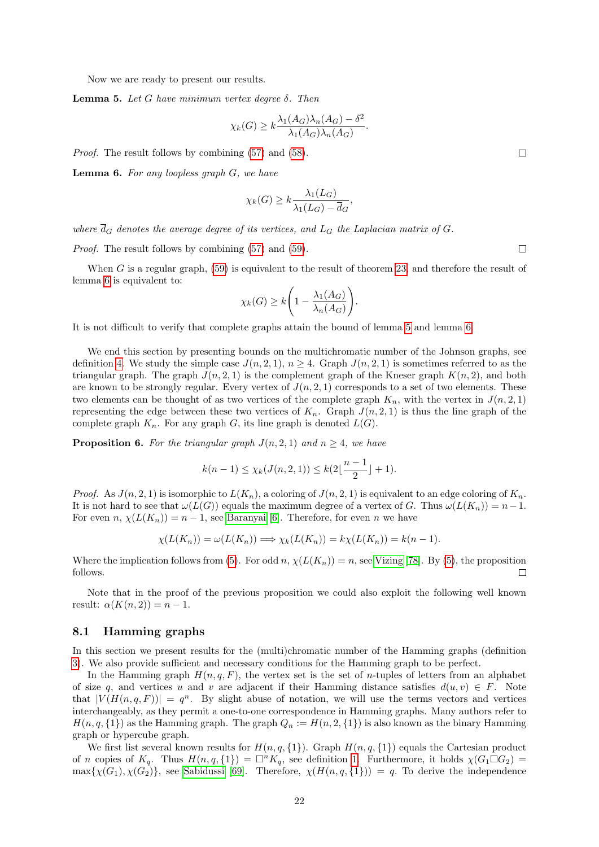Now we are ready to present our results.

<span id="page-21-2"></span>**Lemma 5.** Let *G* have minimum vertex degree δ. Then

$$
\chi_k(G) \ge k \frac{\lambda_1(A_G)\lambda_n(A_G) - \delta^2}{\lambda_1(A_G)\lambda_n(A_G)}.
$$

Proof. The result follows by combining [\(57\)](#page-20-2) and [\(58\)](#page-20-5).

<span id="page-21-1"></span>**Lemma 6.** For any loopless graph  $G$ , we have

$$
\chi_k(G) \ge k \frac{\lambda_1(L_G)}{\lambda_1(L_G) - \overline{d}_G},
$$

where  $\overline{d}_G$  denotes the average degree of its vertices, and  $L_G$  the Laplacian matrix of G.

Proof. The result follows by combining [\(57\)](#page-20-2) and [\(59\)](#page-20-0).

When  $G$  is a regular graph,  $(59)$  is equivalent to the result of theorem [23,](#page-20-3) and therefore the result of lemma [6](#page-21-1) is equivalent to:

$$
\chi_k(G) \ge k \left( 1 - \frac{\lambda_1(A_G)}{\lambda_n(A_G)} \right).
$$

It is not difficult to verify that complete graphs attain the bound of lemma [5](#page-21-2) and lemma [6.](#page-21-1)

We end this section by presenting bounds on the multichromatic number of the Johnson graphs, see definition [4.](#page-2-4) We study the simple case  $J(n, 2, 1)$ ,  $n \geq 4$ . Graph  $J(n, 2, 1)$  is sometimes referred to as the triangular graph. The graph  $J(n, 2, 1)$  is the complement graph of the Kneser graph  $K(n, 2)$ , and both are known to be strongly regular. Every vertex of  $J(n, 2, 1)$  corresponds to a set of two elements. These two elements can be thought of as two vertices of the complete graph  $K_n$ , with the vertex in  $J(n, 2, 1)$ representing the edge between these two vertices of  $K_n$ . Graph  $J(n, 2, 1)$  is thus the line graph of the complete graph  $K_n$ . For any graph G, its line graph is denoted  $L(G)$ .

<span id="page-21-3"></span>**Proposition 6.** For the triangular graph  $J(n, 2, 1)$  and  $n \geq 4$ , we have

$$
k(n-1)\leq \chi_k(J(n,2,1))\leq k(2\lfloor\frac{n-1}{2}\rfloor+1).
$$

*Proof.* As  $J(n, 2, 1)$  is isomorphic to  $L(K_n)$ , a coloring of  $J(n, 2, 1)$  is equivalent to an edge coloring of  $K_n$ . It is not hard to see that  $\omega(L(G))$  equals the maximum degree of a vertex of G. Thus  $\omega(L(K_n)) = n-1$ . For even  $n, \chi(L(K_n)) = n - 1$ , see [Baranyai \[6\]](#page-24-18). Therefore, for even n we have

$$
\chi(L(K_n)) = \omega(L(K_n)) \Longrightarrow \chi_k(L(K_n)) = k\chi(L(K_n)) = k(n-1).
$$

Where the implication follows from [\(5\)](#page-3-3). For odd  $n, \chi(L(K_n)) = n$ , see [Vizing \[78\]](#page-27-11). By (5), the proposition follows.  $\Box$ 

Note that in the proof of the previous proposition we could also exploit the following well known result:  $\alpha(K(n, 2)) = n - 1$ .

#### <span id="page-21-0"></span>8.1 Hamming graphs

In this section we present results for the (multi)chromatic number of the Hamming graphs (definition [3\)](#page-2-7). We also provide sufficient and necessary conditions for the Hamming graph to be perfect.

In the Hamming graph  $H(n, q, F)$ , the vertex set is the set of *n*-tuples of letters from an alphabet of size q, and vertices u and v are adjacent if their Hamming distance satisfies  $d(u, v) \in F$ . Note that  $|V(H(n, q, F))| = q^n$ . By slight abuse of notation, we will use the terms vectors and vertices interchangeably, as they permit a one-to-one correspondence in Hamming graphs. Many authors refer to  $H(n, q, \{1\})$  as the Hamming graph. The graph  $Q_n := H(n, 2, \{1\})$  is also known as the binary Hamming graph or hypercube graph.

We first list several known results for  $H(n, q, \{1\})$ . Graph  $H(n, q, \{1\})$  equals the Cartesian product of n copies of  $K_q$ . Thus  $H(n, q, \{1\}) = \Box^n K_q$ , see definition [1.](#page-2-2) Furthermore, it holds  $\chi(G_1 \Box G_2)$  =  $\max{\{\chi(G_1), \chi(G_2)\}}$ , see [Sabidussi \[69\]](#page-27-12). Therefore,  $\chi(H(n, q, \{1\})) = q$ . To derive the independence

 $\Box$ 

 $\Box$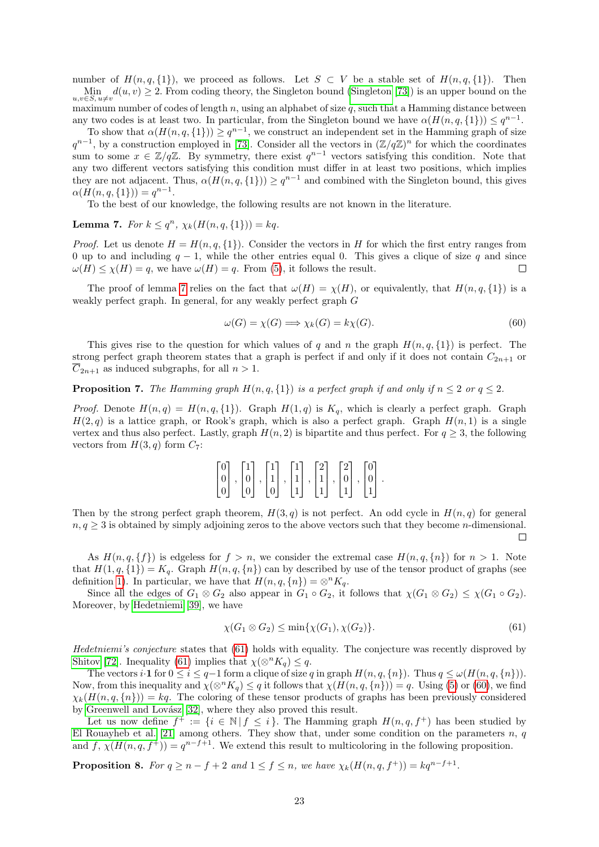number of  $H(n, q, \{1\})$ , we proceed as follows. Let  $S \subset V$  be a stable set of  $H(n, q, \{1\})$ . Then  $\lim_{u,v\in S, u\neq v} d(u,v) \geq 2$ . From coding theory, the Singleton bound [\(Singleton \[73\]](#page-27-13)) is an upper bound on the maximum number of codes of length  $n$ , using an alphabet of size  $q$ , such that a Hamming distance between any two codes is at least two. In particular, from the Singleton bound we have  $\alpha(H(n, q, \{1\})) \leq q^{n-1}$ .

To show that  $\alpha(H(n, q, \{1\})) \geq q^{n-1}$ , we construct an independent set in the Hamming graph of size  $q^{n-1}$ , by a construction employed in [\[73\]](#page-27-13). Consider all the vectors in  $(\mathbb{Z}/q\mathbb{Z})^n$  for which the coordinates sum to some  $x \in \mathbb{Z}/q\mathbb{Z}$ . By symmetry, there exist  $q^{n-1}$  vectors satisfying this condition. Note that any two different vectors satisfying this condition must differ in at least two positions, which implies they are not adjacent. Thus,  $\alpha(H(n, q, \{1\})) \geq q^{n-1}$  and combined with the Singleton bound, this gives  $\alpha(H(n, q, \{1\})) = q^{n-1}.$ 

To the best of our knowledge, the following results are not known in the literature.

<span id="page-22-1"></span>Lemma 7. For  $k \leq q^n$ ,  $\chi_k(H(n,q,\{1\})) = kq$ .

*Proof.* Let us denote  $H = H(n, q, \{1\})$ . Consider the vectors in H for which the first entry ranges from 0 up to and including  $q - 1$ , while the other entries equal 0. This gives a clique of size q and since  $\omega(H) \leq \chi(H) = q$ , we have  $\omega(H) = q$ . From [\(5\)](#page-3-3), it follows the result.  $\Box$ 

The proof of lemma [7](#page-22-1) relies on the fact that  $\omega(H) = \chi(H)$ , or equivalently, that  $H(n, q, \{1\})$  is a weakly perfect graph. In general, for any weakly perfect graph G

<span id="page-22-0"></span>
$$
\omega(G) = \chi(G) \Longrightarrow \chi_k(G) = k\chi(G). \tag{60}
$$

This gives rise to the question for which values of q and n the graph  $H(n, q, \{1\})$  is perfect. The strong perfect graph theorem states that a graph is perfect if and only if it does not contain  $C_{2n+1}$  or  $\overline{C}_{2n+1}$  as induced subgraphs, for all  $n > 1$ .

**Proposition 7.** The Hamming graph  $H(n, q, \{1\})$  is a perfect graph if and only if  $n \leq 2$  or  $q \leq 2$ .

*Proof.* Denote  $H(n,q) = H(n,q,\{1\})$ . Graph  $H(1,q)$  is  $K_q$ , which is clearly a perfect graph. Graph  $H(2, q)$  is a lattice graph, or Rook's graph, which is also a perfect graph. Graph  $H(n, 1)$  is a single vertex and thus also perfect. Lastly, graph  $H(n, 2)$  is bipartite and thus perfect. For  $q \geq 3$ , the following vectors from  $H(3, q)$  form  $C_7$ :

| $\lceil 0 \rceil$                      |  |                                                                                                                                               |   |                 |   |   |                   |  |
|----------------------------------------|--|-----------------------------------------------------------------------------------------------------------------------------------------------|---|-----------------|---|---|-------------------|--|
| $\begin{bmatrix} 0 \\ 0 \end{bmatrix}$ |  | $\, , \, \bigl \,0\,\bigr \, \,, \, \bigl \,1\,\bigr \, \,, \, \bigl \,1\,\bigr \, \,, \, \bigl \,1\,\bigr \, \,, \, \bigl \,0\,\bigr \, \,,$ |   |                 |   |   | $\vert 0 \vert$ . |  |
|                                        |  |                                                                                                                                               | 0 | $\vert 1 \vert$ | 1 | 1 | $1\vert$          |  |

Then by the strong perfect graph theorem,  $H(3, q)$  is not perfect. An odd cycle in  $H(n, q)$  for general  $n, q \geq 3$  is obtained by simply adjoining zeros to the above vectors such that they become *n*-dimensional.  $\Box$ 

As  $H(n, q, \{f\})$  is edgeless for  $f > n$ , we consider the extremal case  $H(n, q, \{n\})$  for  $n > 1$ . Note that  $H(1, q, \{1\}) = K_q$ . Graph  $H(n, q, \{n\})$  can by described by use of the tensor product of graphs (see definition [1\)](#page-2-2). In particular, we have that  $H(n, q, \{n\}) = \otimes^n K_q$ .

Since all the edges of  $G_1 \otimes G_2$  also appear in  $G_1 \circ G_2$ , it follows that  $\chi(G_1 \otimes G_2) \leq \chi(G_1 \circ G_2)$ . Moreover, by [Hedetniemi \[39\]](#page-25-18), we have

<span id="page-22-2"></span>
$$
\chi(G_1 \otimes G_2) \le \min\{\chi(G_1), \chi(G_2)\}.\tag{61}
$$

Hedetniemi's conjecture states that [\(61\)](#page-22-2) holds with equality. The conjecture was recently disproved by [Shitov \[72\]](#page-27-14). Inequality [\(61\)](#page-22-2) implies that  $\chi(\otimes^n K_q) \leq q$ .

The vectors i·1 for  $0 \le i \le q-1$  form a clique of size q in graph  $H(n, q, \{n\})$ . Thus  $q \le \omega(H(n, q, \{n\}))$ . Now, from this inequality and  $\chi(\otimes^n K_q) \leq q$  it follows that  $\chi(H(n, q, \{n\})) = q$ . Using [\(5\)](#page-3-3) or [\(60\)](#page-22-0), we find  $\chi_k(H(n, q, \{n\})) = kq$ . The coloring of these tensor products of graphs has been previously considered by Greenwell and Lovász [32], where they also proved this result.

Let us now define  $f^+ := \{i \in \mathbb{N} | f \leq i\}$ . The Hamming graph  $H(n, q, f^+)$  has been studied by [El Rouayheb et al. \[21\]](#page-24-19) among others. They show that, under some condition on the parameters  $n, q$ and f,  $\chi(H(n,q, f^+)) = q^{n-f+1}$ . We extend this result to multicoloring in the following proposition.

<span id="page-22-3"></span>**Proposition 8.** For  $q \ge n - f + 2$  and  $1 \le f \le n$ , we have  $\chi_k(H(n, q, f^+)) = kq^{n-f+1}$ .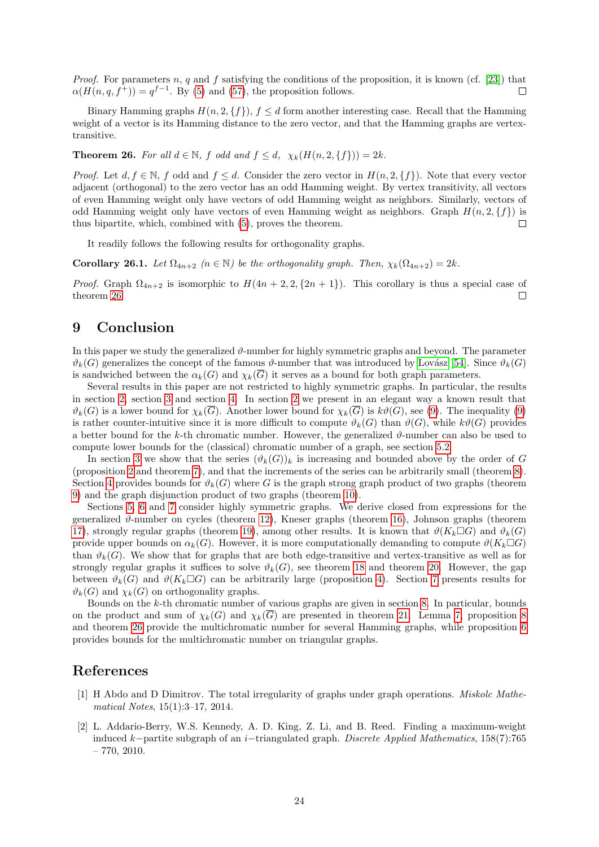*Proof.* For parameters n, q and f satisfying the conditions of the proposition, it is known (cf. [\[23\]](#page-25-20)) that  $\alpha(H(n,q,f^+)) = q^{f-1}$ . By [\(5\)](#page-3-3) and [\(57\)](#page-20-2), the proposition follows.  $\Box$ 

Binary Hamming graphs  $H(n, 2, \{f\}), f \leq d$  form another interesting case. Recall that the Hamming weight of a vector is its Hamming distance to the zero vector, and that the Hamming graphs are vertextransitive.

<span id="page-23-2"></span>**Theorem 26.** For all  $d \in \mathbb{N}$ , f odd and  $f \leq d$ ,  $\chi_k(H(n, 2, \{f\})) = 2k$ .

*Proof.* Let  $d, f \in \mathbb{N}$ , f odd and  $f \leq d$ . Consider the zero vector in  $H(n, 2, \{f\})$ . Note that every vector adjacent (orthogonal) to the zero vector has an odd Hamming weight. By vertex transitivity, all vectors of even Hamming weight only have vectors of odd Hamming weight as neighbors. Similarly, vectors of odd Hamming weight only have vectors of even Hamming weight as neighbors. Graph  $H(n, 2, \{f\})$  is thus bipartite, which, combined with [\(5\)](#page-3-3), proves the theorem.  $\Box$ 

It readily follows the following results for orthogonality graphs.

**Corollary 26.1.** Let  $\Omega_{4n+2}$   $(n \in \mathbb{N})$  be the orthogonality graph. Then,  $\chi_k(\Omega_{4n+2}) = 2k$ .

*Proof.* Graph  $\Omega_{4n+2}$  is isomorphic to  $H(4n+2, 2, \{2n+1\})$ . This corollary is thus a special case of theorem [26.](#page-23-2)  $\Box$ 

## 9 Conclusion

In this paper we study the generalized  $\vartheta$ -number for highly symmetric graphs and beyond. The parameter  $\vartheta_k(G)$  generalizes the concept of the famous  $\vartheta$ -number that was introduced by Lovász [54]. Since  $\vartheta_k(G)$ is sandwiched between the  $\alpha_k(G)$  and  $\chi_k(\overline{G})$  it serves as a bound for both graph parameters.

Several results in this paper are not restricted to highly symmetric graphs. In particular, the results in section [2,](#page-3-0) section [3](#page-4-0) and section [4.](#page-7-0) In section [2](#page-3-0) we present in an elegant way a known result that  $\vartheta_k(G)$  is a lower bound for  $\chi_k(\overline{G})$ . Another lower bound for  $\chi_k(\overline{G})$  is  $k\vartheta(G)$ , see [\(9\)](#page-3-6). The inequality (9) is rather counter-intuitive since it is more difficult to compute  $\vartheta_k(G)$  than  $\vartheta(G)$ , while  $k\vartheta(G)$  provides a better bound for the k-th chromatic number. However, the generalized  $\vartheta$ -number can also be used to compute lower bounds for the (classical) chromatic number of a graph, see section [5.2.](#page-12-0)

In section [3](#page-4-0) we show that the series  $(\vartheta_k(G))_k$  is increasing and bounded above by the order of G (proposition [2](#page-4-2) and theorem [7\)](#page-5-0), and that the increments of the series can be arbitrarily small (theorem [8\)](#page-5-1). Section [4](#page-7-0) provides bounds for  $\vartheta_k(G)$  where G is the graph strong graph product of two graphs (theorem [9\)](#page-7-1) and the graph disjunction product of two graphs (theorem [10\)](#page-7-2).

Sections [5,](#page-8-0) [6](#page-14-0) and [7](#page-18-0) consider highly symmetric graphs. We derive closed from expressions for the generalized  $\vartheta$ -number on cycles (theorem [12\)](#page-9-2), Kneser graphs (theorem [16\)](#page-11-0), Johnson graphs (theorem [17\)](#page-12-1), strongly regular graphs (theorem [19\)](#page-14-3), among other results. It is known that  $\vartheta(K_k \Box G)$  and  $\vartheta_k(G)$ provide upper bounds on  $\alpha_k(G)$ . However, it is more computationally demanding to compute  $\vartheta(K_k \Box G)$ than  $\vartheta_k(G)$ . We show that for graphs that are both edge-transitive and vertex-transitive as well as for strongly regular graphs it suffices to solve  $\vartheta_k(G)$ , see theorem [18](#page-14-1) and theorem [20.](#page-17-0) However, the gap between  $\vartheta_k(G)$  and  $\vartheta(K_k \Box G)$  can be arbitrarily large (proposition [4\)](#page-13-5). Section [7](#page-18-0) presents results for  $\vartheta_k(G)$  and  $\chi_k(G)$  on orthogonality graphs.

Bounds on the  $k$ -th chromatic number of various graphs are given in section [8.](#page-19-0) In particular, bounds on the product and sum of  $\chi_k(G)$  and  $\chi_k(\overline{G})$  are presented in theorem [21.](#page-19-5) Lemma [7,](#page-22-1) proposition [8](#page-22-3) and theorem [26](#page-23-2) provide the multichromatic number for several Hamming graphs, while proposition [6](#page-21-3) provides bounds for the multichromatic number on triangular graphs.

## References

- <span id="page-23-1"></span>[1] H Abdo and D Dimitrov. The total irregularity of graphs under graph operations. Miskolc Mathematical Notes, 15(1):3–17, 2014.
- <span id="page-23-0"></span>[2] L. Addario-Berry, W.S. Kennedy, A. D. King, Z. Li, and B. Reed. Finding a maximum-weight induced k−partite subgraph of an i−triangulated graph. Discrete Applied Mathematics, 158(7):765  $-770, 2010.$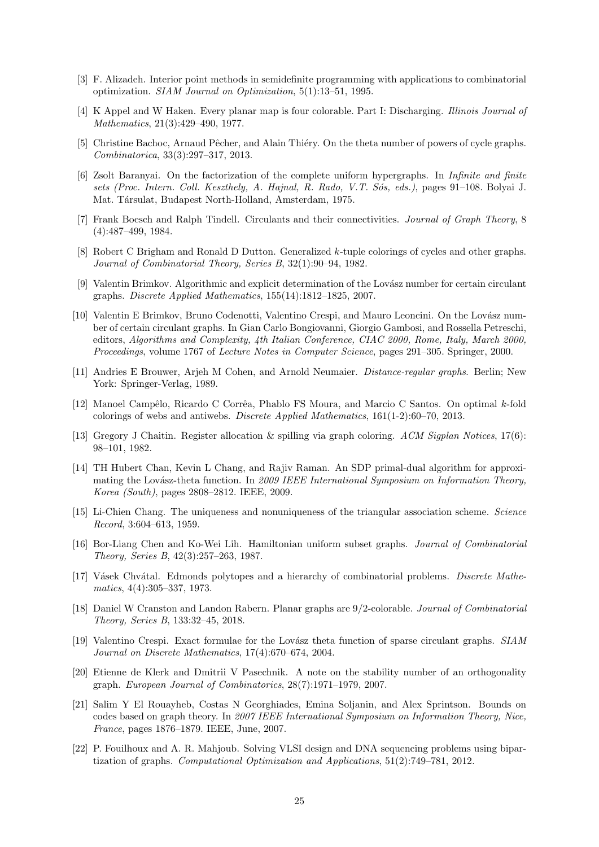- <span id="page-24-5"></span>[3] F. Alizadeh. Interior point methods in semidefinite programming with applications to combinatorial optimization. SIAM Journal on Optimization, 5(1):13–51, 1995.
- <span id="page-24-2"></span>[4] K Appel and W Haken. Every planar map is four colorable. Part I: Discharging. Illinois Journal of Mathematics, 21(3):429–490, 1977.
- <span id="page-24-7"></span>[5] Christine Bachoc, Arnaud Pêcher, and Alain Thiéry. On the theta number of powers of cycle graphs. Combinatorica, 33(3):297–317, 2013.
- <span id="page-24-18"></span>[6] Zsolt Baranyai. On the factorization of the complete uniform hypergraphs. In Infinite and finite sets (Proc. Intern. Coll. Keszthely, A. Hajnal, R. Rado, V.T. Sós, eds.), pages 91–108. Bolyai J. Mat. Társulat, Budapest North-Holland, Amsterdam, 1975.
- <span id="page-24-11"></span>[7] Frank Boesch and Ralph Tindell. Circulants and their connectivities. Journal of Graph Theory, 8 (4):487–499, 1984.
- <span id="page-24-17"></span>[8] Robert C Brigham and Ronald D Dutton. Generalized k-tuple colorings of cycles and other graphs. Journal of Combinatorial Theory, Series B, 32(1):90–94, 1982.
- <span id="page-24-8"></span>[9] Valentin Brimkov. Algorithmic and explicit determination of the Lovász number for certain circulant graphs. Discrete Applied Mathematics, 155(14):1812–1825, 2007.
- <span id="page-24-9"></span>[10] Valentin E Brimkov, Bruno Codenotti, Valentino Crespi, and Mauro Leoncini. On the Lovász number of certain circulant graphs. In Gian Carlo Bongiovanni, Giorgio Gambosi, and Rossella Petreschi, editors, Algorithms and Complexity, 4th Italian Conference, CIAC 2000, Rome, Italy, March 2000, Proceedings, volume 1767 of Lecture Notes in Computer Science, pages 291–305. Springer, 2000.
- <span id="page-24-13"></span>[11] Andries E Brouwer, Arjeh M Cohen, and Arnold Neumaier. Distance-regular graphs. Berlin; New York: Springer-Verlag, 1989.
- <span id="page-24-6"></span>[12] Manoel Campêlo, Ricardo C Corrêa, Phablo FS Moura, and Marcio C Santos. On optimal k-fold colorings of webs and antiwebs. Discrete Applied Mathematics, 161(1-2):60–70, 2013.
- <span id="page-24-0"></span>[13] Gregory J Chaitin. Register allocation & spilling via graph coloring. ACM Sigplan Notices, 17(6): 98–101, 1982.
- <span id="page-24-4"></span>[14] TH Hubert Chan, Kevin L Chang, and Rajiv Raman. An SDP primal-dual algorithm for approximating the Lovász-theta function. In 2009 IEEE International Symposium on Information Theory, Korea (South), pages 2808–2812. IEEE, 2009.
- <span id="page-24-15"></span>[15] Li-Chien Chang. The uniqueness and nonuniqueness of the triangular association scheme. Science Record, 3:604–613, 1959.
- <span id="page-24-12"></span>[16] Bor-Liang Chen and Ko-Wei Lih. Hamiltonian uniform subset graphs. Journal of Combinatorial Theory, Series B, 42(3):257–263, 1987.
- <span id="page-24-14"></span>[17] Vásek Chvátal. Edmonds polytopes and a hierarchy of combinatorial problems. Discrete Mathematics, 4(4):305–337, 1973.
- <span id="page-24-1"></span>[18] Daniel W Cranston and Landon Rabern. Planar graphs are 9/2-colorable. Journal of Combinatorial Theory, Series B, 133:32–45, 2018.
- <span id="page-24-10"></span>[19] Valentino Crespi. Exact formulae for the Lovász theta function of sparse circulant graphs. SIAM Journal on Discrete Mathematics, 17(4):670–674, 2004.
- <span id="page-24-16"></span>[20] Etienne de Klerk and Dmitrii V Pasechnik. A note on the stability number of an orthogonality graph. European Journal of Combinatorics, 28(7):1971–1979, 2007.
- <span id="page-24-19"></span>[21] Salim Y El Rouayheb, Costas N Georghiades, Emina Soljanin, and Alex Sprintson. Bounds on codes based on graph theory. In 2007 IEEE International Symposium on Information Theory, Nice, France, pages 1876–1879. IEEE, June, 2007.
- <span id="page-24-3"></span>[22] P. Fouilhoux and A. R. Mahjoub. Solving VLSI design and DNA sequencing problems using bipartization of graphs. Computational Optimization and Applications, 51(2):749–781, 2012.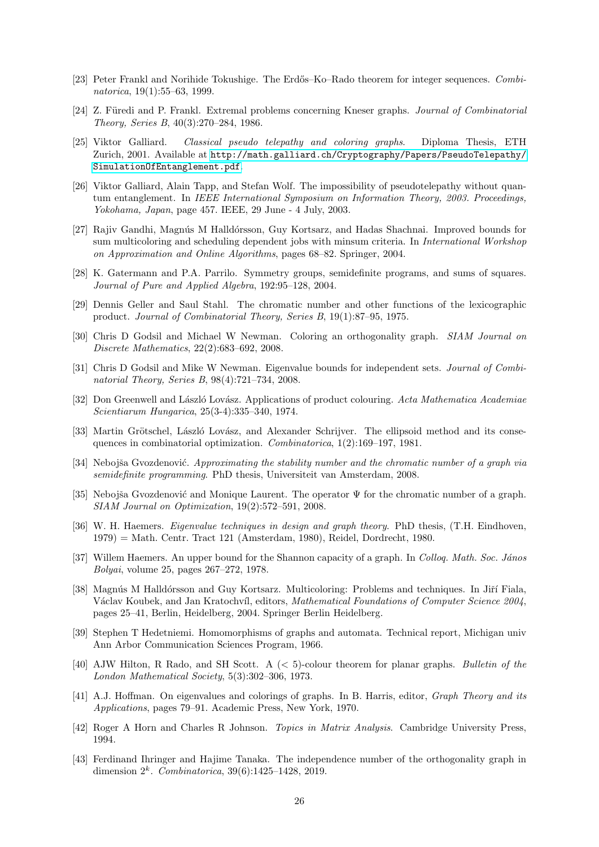- <span id="page-25-20"></span>[23] Peter Frankl and Norihide Tokushige. The Erdős–Ko–Rado theorem for integer sequences. Combinatorica, 19(1):55–63, 1999.
- <span id="page-25-3"></span>[24] Z. Füredi and P. Frankl. Extremal problems concerning Kneser graphs. *Journal of Combinatorial* Theory, Series B, 40(3):270–284, 1986.
- <span id="page-25-13"></span>[25] Viktor Galliard. Classical pseudo telepathy and coloring graphs. Diploma Thesis, ETH Zurich, 2001. Available at [http://math.galliard.ch/Cryptography/Papers/PseudoTelepathy/](http://math.galliard.ch/Cryptography/Papers/PseudoTelepathy/SimulationOfEntanglement.pdf) [SimulationOfEntanglement.pdf](http://math.galliard.ch/Cryptography/Papers/PseudoTelepathy/SimulationOfEntanglement.pdf).
- <span id="page-25-11"></span>[26] Viktor Galliard, Alain Tapp, and Stefan Wolf. The impossibility of pseudotelepathy without quantum entanglement. In IEEE International Symposium on Information Theory, 2003. Proceedings, Yokohama, Japan, page 457. IEEE, 29 June - 4 July, 2003.
- <span id="page-25-1"></span>[27] Rajiv Gandhi, Magnús M Halldórsson, Guy Kortsarz, and Hadas Shachnai. Improved bounds for sum multicoloring and scheduling dependent jobs with minsum criteria. In *International Workshop* on Approximation and Online Algorithms, pages 68–82. Springer, 2004.
- <span id="page-25-8"></span>[28] K. Gatermann and P.A. Parrilo. Symmetry groups, semidefinite programs, and sums of squares. Journal of Pure and Applied Algebra, 192:95–128, 2004.
- <span id="page-25-6"></span>[29] Dennis Geller and Saul Stahl. The chromatic number and other functions of the lexicographic product. Journal of Combinatorial Theory, Series B, 19(1):87–95, 1975.
- <span id="page-25-12"></span>[30] Chris D Godsil and Michael W Newman. Coloring an orthogonality graph. SIAM Journal on Discrete Mathematics, 22(2):683–692, 2008.
- <span id="page-25-17"></span>[31] Chris D Godsil and Mike W Newman. Eigenvalue bounds for independent sets. *Journal of Combi*natorial Theory, Series B, 98(4):721–734, 2008.
- <span id="page-25-19"></span>[32] Don Greenwell and László Lovász. Applications of product colouring. Acta Mathematica Academiae Scientiarum Hungarica, 25(3-4):335–340, 1974.
- <span id="page-25-4"></span>[33] Martin Grötschel, László Lovász, and Alexander Schrijver. The ellipsoid method and its consequences in combinatorial optimization. Combinatorica, 1(2):169–197, 1981.
- <span id="page-25-9"></span>[34] Nebojša Gvozdenović. Approximating the stability number and the chromatic number of a graph via semidefinite programming. PhD thesis, Universiteit van Amsterdam, 2008.
- <span id="page-25-5"></span>[35] Nebojša Gvozdenović and Monique Laurent. The operator  $\Psi$  for the chromatic number of a graph. SIAM Journal on Optimization, 19(2):572–591, 2008.
- <span id="page-25-16"></span>[36] W. H. Haemers. Eigenvalue techniques in design and graph theory. PhD thesis, (T.H. Eindhoven, 1979) = Math. Centr. Tract 121 (Amsterdam, 1980), Reidel, Dordrecht, 1980.
- <span id="page-25-10"></span>[37] Willem Haemers. An upper bound for the Shannon capacity of a graph. In Colloq. Math. Soc. János Bolyai, volume 25, pages 267–272, 1978.
- <span id="page-25-2"></span>[38] Magnús M Halldórsson and Guy Kortsarz. Multicoloring: Problems and techniques. In Jiří Fiala, Václav Koubek, and Jan Kratochvíl, editors, Mathematical Foundations of Computer Science 2004, pages 25–41, Berlin, Heidelberg, 2004. Springer Berlin Heidelberg.
- <span id="page-25-18"></span>[39] Stephen T Hedetniemi. Homomorphisms of graphs and automata. Technical report, Michigan univ Ann Arbor Communication Sciences Program, 1966.
- <span id="page-25-0"></span>[40] AJW Hilton, R Rado, and SH Scott. A (< 5)-colour theorem for planar graphs. Bulletin of the London Mathematical Society, 5(3):302–306, 1973.
- <span id="page-25-15"></span>[41] A.J. Hoffman. On eigenvalues and colorings of graphs. In B. Harris, editor, Graph Theory and its Applications, pages 79–91. Academic Press, New York, 1970.
- <span id="page-25-7"></span>[42] Roger A Horn and Charles R Johnson. Topics in Matrix Analysis. Cambridge University Press, 1994.
- <span id="page-25-14"></span>[43] Ferdinand Ihringer and Hajime Tanaka. The independence number of the orthogonality graph in dimension  $2^k$ . *Combinatorica*,  $39(6)$ :1425-1428, 2019.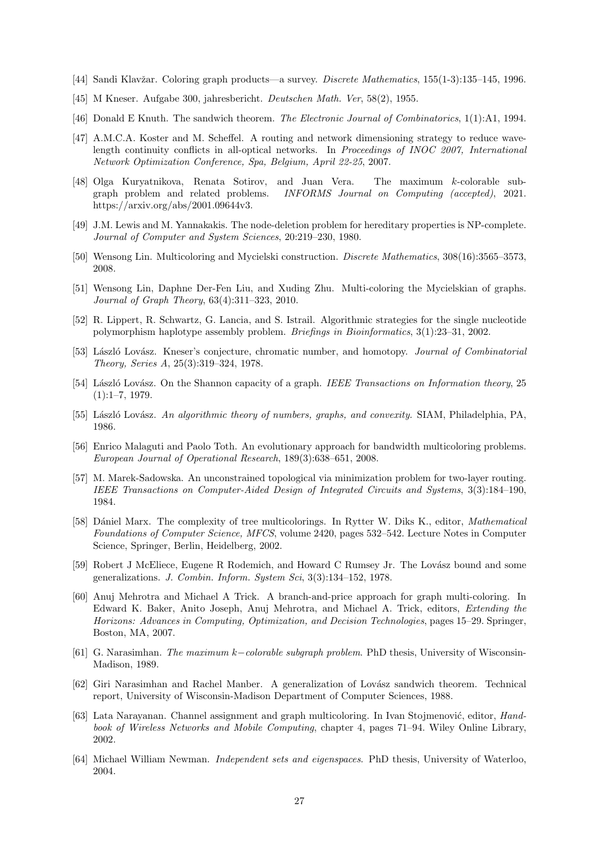- <span id="page-26-15"></span>[44] Sandi Klavžar. Coloring graph products—a survey. *Discrete Mathematics*, 155(1-3):135–145, 1996.
- <span id="page-26-18"></span>[45] M Kneser. Aufgabe 300, jahresbericht. Deutschen Math. Ver, 58(2), 1955.
- <span id="page-26-11"></span>[46] Donald E Knuth. The sandwich theorem. The Electronic Journal of Combinatorics, 1(1):A1, 1994.
- <span id="page-26-5"></span>[47] A.M.C.A. Koster and M. Scheffel. A routing and network dimensioning strategy to reduce wavelength continuity conflicts in all-optical networks. In Proceedings of INOC 2007, International Network Optimization Conference, Spa, Belgium, April 22-25, 2007.
- <span id="page-26-14"></span>[48] Olga Kuryatnikova, Renata Sotirov, and Juan Vera. The maximum k-colorable subgraph problem and related problems. INFORMS Journal on Computing (accepted), 2021. https://arxiv.org/abs/2001.09644v3.
- <span id="page-26-4"></span>[49] J.M. Lewis and M. Yannakakis. The node-deletion problem for hereditary properties is NP-complete. Journal of Computer and System Sciences, 20:219–230, 1980.
- <span id="page-26-1"></span>[50] Wensong Lin. Multicoloring and Mycielski construction. Discrete Mathematics, 308(16):3565–3573, 2008.
- <span id="page-26-2"></span>[51] Wensong Lin, Daphne Der-Fen Liu, and Xuding Zhu. Multi-coloring the Mycielskian of graphs. Journal of Graph Theory, 63(4):311–323, 2010.
- <span id="page-26-7"></span>[52] R. Lippert, R. Schwartz, G. Lancia, and S. Istrail. Algorithmic strategies for the single nucleotide polymorphism haplotype assembly problem. Briefings in Bioinformatics, 3(1):23–31, 2002.
- <span id="page-26-19"></span>[53] László Lovász. Kneser's conjecture, chromatic number, and homotopy. *Journal of Combinatorial* Theory, Series A, 25(3):319–324, 1978.
- <span id="page-26-10"></span>[54] László Lovász. On the Shannon capacity of a graph. IEEE Transactions on Information theory, 25  $(1):1-7, 1979.$
- <span id="page-26-12"></span>[55] László Lovász. An algorithmic theory of numbers, graphs, and convexity. SIAM, Philadelphia, PA, 1986.
- <span id="page-26-16"></span>[56] Enrico Malaguti and Paolo Toth. An evolutionary approach for bandwidth multicoloring problems. European Journal of Operational Research, 189(3):638–651, 2008.
- <span id="page-26-6"></span>[57] M. Marek-Sadowska. An unconstrained topological via minimization problem for two-layer routing. IEEE Transactions on Computer-Aided Design of Integrated Circuits and Systems, 3(3):184–190, 1984.
- <span id="page-26-3"></span>[58] Dániel Marx. The complexity of tree multicolorings. In Rytter W. Diks K., editor, *Mathematical* Foundations of Computer Science, MFCS, volume 2420, pages 532–542. Lecture Notes in Computer Science, Springer, Berlin, Heidelberg, 2002.
- <span id="page-26-13"></span>[59] Robert J McEliece, Eugene R Rodemich, and Howard C Rumsey Jr. The Lovász bound and some generalizations. J. Combin. Inform. System Sci, 3(3):134–152, 1978.
- <span id="page-26-17"></span>[60] Anuj Mehrotra and Michael A Trick. A branch-and-price approach for graph multi-coloring. In Edward K. Baker, Anito Joseph, Anuj Mehrotra, and Michael A. Trick, editors, Extending the Horizons: Advances in Computing, Optimization, and Decision Technologies, pages 15–29. Springer, Boston, MA, 2007.
- <span id="page-26-8"></span>[61] G. Narasimhan. The maximum k−colorable subgraph problem. PhD thesis, University of Wisconsin-Madison, 1989.
- <span id="page-26-9"></span>[62] Giri Narasimhan and Rachel Manber. A generalization of Lovász sandwich theorem. Technical report, University of Wisconsin-Madison Department of Computer Sciences, 1988.
- <span id="page-26-0"></span>[63] Lata Narayanan. Channel assignment and graph multicoloring. In Ivan Stojmenović, editor, *Hand*book of Wireless Networks and Mobile Computing, chapter 4, pages 71–94. Wiley Online Library, 2002.
- <span id="page-26-20"></span>[64] Michael William Newman. Independent sets and eigenspaces. PhD thesis, University of Waterloo, 2004.